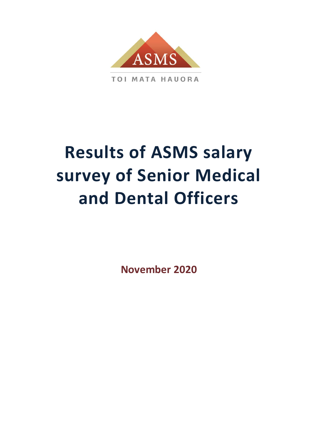

**TOI MATA HAUORA** 

# **Results of ASMS salary survey of Senior Medical and Dental Officers**

**November 2020**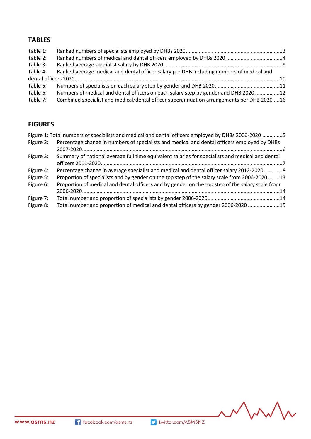## **TABLES**

| Table 1: |                                                                                            |  |
|----------|--------------------------------------------------------------------------------------------|--|
| Table 2: |                                                                                            |  |
| Table 3: |                                                                                            |  |
| Table 4: | Ranked average medical and dental officer salary per DHB including numbers of medical and  |  |
|          |                                                                                            |  |
| Table 5: |                                                                                            |  |
| Table 6: | Numbers of medical and dental officers on each salary step by gender and DHB 2020 12       |  |
| Table 7: | Combined specialist and medical/dental officer superannuation arrangements per DHB 2020 16 |  |
|          |                                                                                            |  |

## **FIGURES**

|           | Figure 1: Total numbers of specialists and medical and dental officers employed by DHBs 2006-2020 5 |  |
|-----------|-----------------------------------------------------------------------------------------------------|--|
| Figure 2: | Percentage change in numbers of specialists and medical and dental officers employed by DHBs        |  |
|           |                                                                                                     |  |
| Figure 3: | Summary of national average full time equivalent salaries for specialists and medical and dental    |  |
|           |                                                                                                     |  |
| Figure 4: | Percentage change in average specialist and medical and dental officer salary 2012-20208            |  |
| Figure 5: | Proportion of specialists and by gender on the top step of the salary scale from 2006-2020 13       |  |
| Figure 6: | Proportion of medical and dental officers and by gender on the top step of the salary scale from    |  |
|           |                                                                                                     |  |
| Figure 7: |                                                                                                     |  |
| Figure 8: | Total number and proportion of medical and dental officers by gender 2006-2020 15                   |  |
|           |                                                                                                     |  |

MMM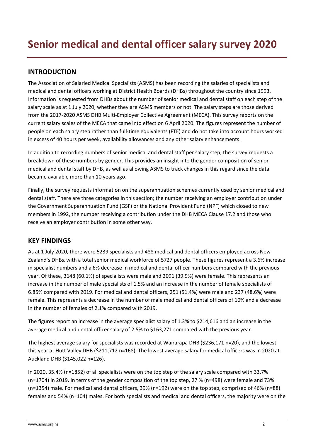## **INTRODUCTION**

The Association of Salaried Medical Specialists (ASMS) has been recording the salaries of specialists and medical and dental officers working at District Health Boards (DHBs) throughout the country since 1993. Information is requested from DHBs about the number of senior medical and dental staff on each step of the salary scale as at 1 July 2020, whether they are ASMS members or not. The salary steps are those derived from the 2017-2020 ASMS DHB Multi-Employer Collective Agreement (MECA). This survey reports on the current salary scales of the MECA that came into effect on 6 April 2020. The figures represent the number of people on each salary step rather than full-time equivalents (FTE) and do not take into account hours worked in excess of 40 hours per week, availability allowances and any other salary enhancements.

In addition to recording numbers of senior medical and dental staff per salary step, the survey requests a breakdown of these numbers by gender. This provides an insight into the gender composition of senior medical and dental staff by DHB, as well as allowing ASMS to track changes in this regard since the data became available more than 10 years ago.

Finally, the survey requests information on the superannuation schemes currently used by senior medical and dental staff. There are three categories in this section; the number receiving an employer contribution under the Government Superannuation Fund (GSF) or the National Provident Fund (NPF) which closed to new members in 1992, the number receiving a contribution under the DHB MECA Clause 17.2 and those who receive an employer contribution in some other way.

## **KEY FINDINGS**

As at 1 July 2020, there were 5239 specialists and 488 medical and dental officers employed across New Zealand's DHBs, with a total senior medical workforce of 5727 people. These figures represent a 3.6% increase in specialist numbers and a 6% decrease in medical and dental officer numbers compared with the previous year. Of these, 3148 (60.1%) of specialists were male and 2091 (39.9%) were female. This represents an increase in the number of male specialists of 1.5% and an increase in the number of female specialists of 6.85% compared with 2019. For medical and dental officers, 251 (51.4%) were male and 237 (48.6%) were female. This represents a decrease in the number of male medical and dental officers of 10% and a decrease in the number of females of 2.1% compared with 2019.

The figures report an increase in the average specialist salary of 1.3% to \$214,616 and an increase in the average medical and dental officer salary of 2.5% to \$163,271 compared with the previous year.

The highest average salary for specialists was recorded at Wairarapa DHB (\$236,171 n=20), and the lowest this year at Hutt Valley DHB (\$211,712 n=168). The lowest average salary for medical officers was in 2020 at Auckland DHB (\$145,022 n=126).

In 2020, 35.4% (n=1852) of all specialists were on the top step of the salary scale compared with 33.7% (n=1704) in 2019. In terms of the gender composition of the top step, 27 % (n=498) were female and 73% (n=1354) male. For medical and dental officers, 39% (n=192) were on the top step, comprised of 46% (n=88) females and 54% (n=104) males. For both specialists and medical and dental officers, the majority were on the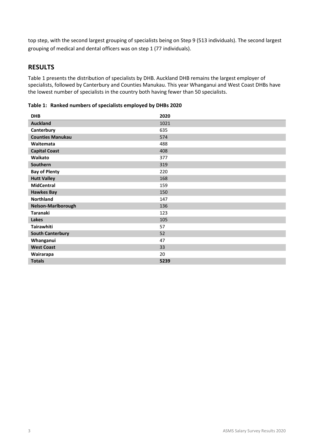top step, with the second largest grouping of specialists being on Step 9 (513 individuals). The second largest grouping of medical and dental officers was on step 1 (77 individuals).

## **RESULTS**

Table 1 presents the distribution of specialists by DHB. Auckland DHB remains the largest employer of specialists, followed by Canterbury and Counties Manukau. This year Whanganui and West Coast DHBs have the lowest number of specialists in the country both having fewer than 50 specialists.

<span id="page-3-0"></span>**Table 1: Ranked numbers of specialists employed by DHBs 2020**

| <b>DHB</b>              | 2020 |
|-------------------------|------|
| <b>Auckland</b>         | 1021 |
| Canterbury              | 635  |
| <b>Counties Manukau</b> | 574  |
| Waitemata               | 488  |
| <b>Capital Coast</b>    | 408  |
| Waikato                 | 377  |
| Southern                | 319  |
| <b>Bay of Plenty</b>    | 220  |
| <b>Hutt Valley</b>      | 168  |
| <b>MidCentral</b>       | 159  |
| <b>Hawkes Bay</b>       | 150  |
| <b>Northland</b>        | 147  |
| Nelson-Marlborough      | 136  |
| <b>Taranaki</b>         | 123  |
| <b>Lakes</b>            | 105  |
| <b>Tairawhiti</b>       | 57   |
| <b>South Canterbury</b> | 52   |
| Whanganui               | 47   |
| <b>West Coast</b>       | 33   |
| Wairarapa               | 20   |
| <b>Totals</b>           | 5239 |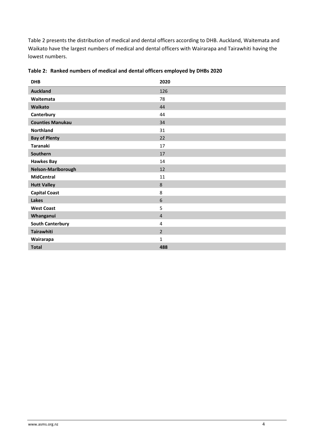Table 2 presents the distribution of medical and dental officers according to DHB. Auckland, Waitemata and Waikato have the largest numbers of medical and dental officers with Wairarapa and Tairawhiti having the lowest numbers.

| <b>DHB</b>              | 2020           |
|-------------------------|----------------|
| <b>Auckland</b>         | 126            |
| Waitemata               | 78             |
| Waikato                 | 44             |
| Canterbury              | 44             |
| <b>Counties Manukau</b> | 34             |
| Northland               | 31             |
| <b>Bay of Plenty</b>    | 22             |
| <b>Taranaki</b>         | 17             |
| Southern                | 17             |
| <b>Hawkes Bay</b>       | 14             |
| Nelson-Marlborough      | 12             |
| <b>MidCentral</b>       | 11             |
| <b>Hutt Valley</b>      | $\,8\,$        |
| <b>Capital Coast</b>    | 8              |
| Lakes                   | 6              |
| <b>West Coast</b>       | 5              |
| Whanganui               | $\overline{4}$ |
| <b>South Canterbury</b> | 4              |
| Tairawhiti              | $\overline{2}$ |
| Wairarapa               | $\mathbf{1}$   |
| <b>Total</b>            | 488            |

<span id="page-4-0"></span>

|  | Table 2: Ranked numbers of medical and dental officers employed by DHBs 2020 |  |  |  |  |
|--|------------------------------------------------------------------------------|--|--|--|--|
|--|------------------------------------------------------------------------------|--|--|--|--|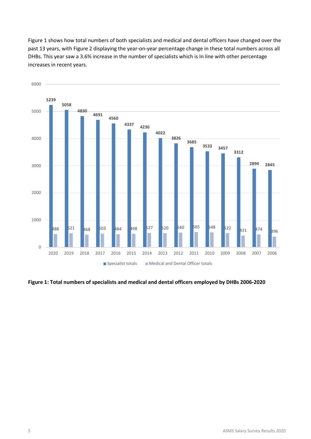Figure 1 shows how total numbers of both specialists and medical and dental officers have changed over the past 13 years, with Figure 2 displaying the year-on-year percentage change in these total numbers across all DHBs. This year saw a 3.6% increase in the number of specialists which is In line with other percentage increases in recent years.



<span id="page-5-0"></span>**Figure 1: Total numbers of specialists and medical and dental officers employed by DHBs 2006-2020**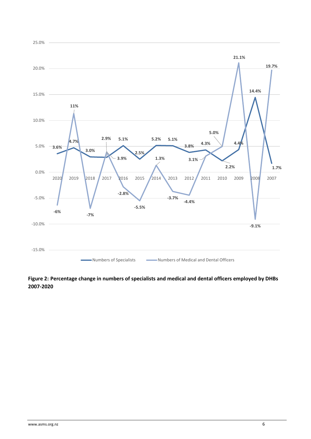

### <span id="page-6-0"></span>**Figure 2: Percentage change in numbers of specialists and medical and dental officers employed by DHBs 2007-2020**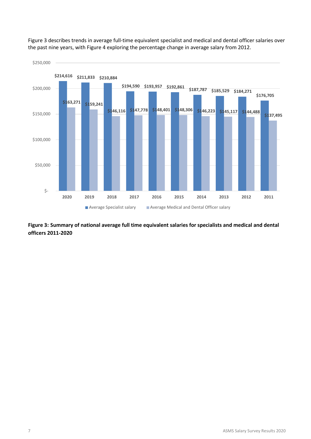

Figure 3 describes trends in average full-time equivalent specialist and medical and dental officer salaries over the past nine years, with Figure 4 exploring the percentage change in average salary from 2012.

<span id="page-7-0"></span>**Figure 3: Summary of national average full time equivalent salaries for specialists and medical and dental officers 2011-2020**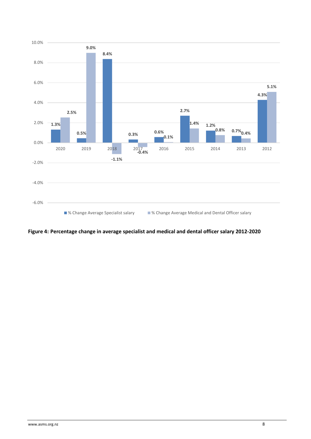

<span id="page-8-0"></span>**Figure 4: Percentage change in average specialist and medical and dental officer salary 2012-2020**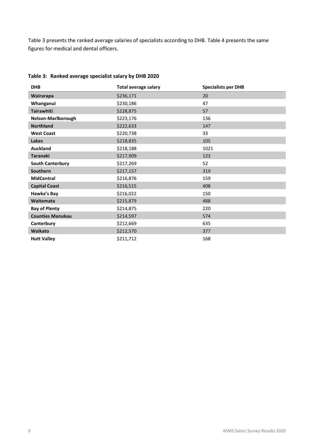Table 3 presents the ranked average salaries of specialists according to DHB. Table 4 presents the same figures for medical and dental officers.

| <b>DHB</b>              | <b>Total average salary</b> | <b>Specialists per DHB</b> |
|-------------------------|-----------------------------|----------------------------|
| Wairarapa               | \$236,171                   | 20                         |
| Whanganui               | \$230,186                   | 47                         |
| <b>Tairawhiti</b>       | \$228,875                   | 57                         |
| Nelson-Marlborough      | \$223,176                   | 136                        |
| <b>Northland</b>        | \$222,633                   | 147                        |
| <b>West Coast</b>       | \$220,738                   | 33                         |
| Lakes                   | \$218,835                   | 105                        |
| <b>Auckland</b>         | \$218,188                   | 1021                       |
| <b>Taranaki</b>         | \$217,909                   | 123                        |
| <b>South Canterbury</b> | \$217,269                   | 52                         |
| Southern                | \$217,157                   | 319                        |
| <b>MidCentral</b>       | \$216,876                   | 159                        |
| <b>Capital Coast</b>    | \$216,515                   | 408                        |
| <b>Hawke's Bay</b>      | \$216,022                   | 150                        |
| Waitemata               | \$215,879                   | 488                        |
| <b>Bay of Plenty</b>    | \$214,875                   | 220                        |
| <b>Counties Manukau</b> | \$214,597                   | 574                        |
| Canterbury              | \$212,669                   | 635                        |
| Waikato                 | \$212,570                   | 377                        |
| <b>Hutt Valley</b>      | \$211,712                   | 168                        |

#### <span id="page-9-0"></span>**Table 3: Ranked average specialist salary by DHB 2020**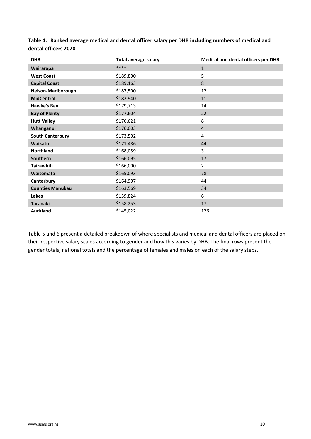| <b>DHB</b>              | <b>Total average salary</b> | <b>Medical and dental officers per DHB</b> |
|-------------------------|-----------------------------|--------------------------------------------|
| Wairarapa               | ****                        | $\mathbf{1}$                               |
| <b>West Coast</b>       | \$189,800                   | 5                                          |
| <b>Capital Coast</b>    | \$189,163                   | 8                                          |
| Nelson-Marlborough      | \$187,500                   | 12                                         |
| <b>MidCentral</b>       | \$182,940                   | 11                                         |
| Hawke's Bay             | \$179,713                   | 14                                         |
| <b>Bay of Plenty</b>    | \$177,604                   | 22                                         |
| <b>Hutt Valley</b>      | \$176,621                   | 8                                          |
| Whanganui               | \$176,003                   | $\overline{4}$                             |
| <b>South Canterbury</b> | \$173,502                   | 4                                          |
| Waikato                 | \$171,486                   | 44                                         |
| Northland               | \$168,059                   | 31                                         |
| Southern                | \$166,095                   | 17                                         |
| <b>Tairawhiti</b>       | \$166,000                   | $\overline{2}$                             |
| Waitemata               | \$165,093                   | 78                                         |
| Canterbury              | \$164,907                   | 44                                         |
| <b>Counties Manukau</b> | \$163,569                   | 34                                         |
| Lakes                   | \$159,824                   | 6                                          |
| <b>Taranaki</b>         | \$158,253                   | 17                                         |
| <b>Auckland</b>         | \$145,022                   | 126                                        |

<span id="page-10-0"></span>**Table 4: Ranked average medical and dental officer salary per DHB including numbers of medical and dental officers 2020**

Table 5 and 6 present a detailed breakdown of where specialists and medical and dental officers are placed on their respective salary scales according to gender and how this varies by DHB. The final rows present the gender totals, national totals and the percentage of females and males on each of the salary steps.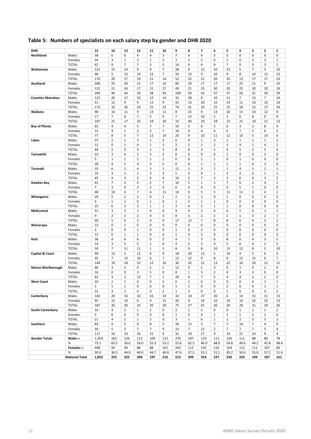## <span id="page-11-0"></span>**Table 5: Numbers of specialists on each salary step by gender and DHB 2020**

| $\overline{7}$<br>38<br>6<br>6<br>3<br>6<br>3<br>5<br>$\mathbf 0$<br>$\mathbf 0$<br>Northland<br>Males<br>4<br>4<br>4<br>0<br>0<br>3<br>$\overline{7}$<br>6<br>$\overline{2}$<br>3<br>3<br>Females<br>24<br>3<br>$\mathbf{1}$<br>$\mathbf{1}$<br>2<br>3<br>$\overline{2}$<br>0<br>$\mathbf{1}$<br>$\overline{7}$<br>$\overline{7}$<br>5<br>$\overline{7}$<br>62<br>9<br>5<br>6<br>9<br>3<br>3<br>$\mathbf{1}$<br><b>TOTAL</b><br>14<br>9<br>0<br>$\overline{7}$<br>5<br>Waitemata<br>Males<br>122<br>15<br>14<br>9<br>9<br>28<br>9<br>12<br>10<br>23<br>$\overline{7}$<br>5<br>10<br>5<br>48<br>13<br>$\overline{7}$<br>9<br>9<br>8<br>Females<br>10<br>12<br>24<br>13<br>10<br>10<br>12<br>13<br>20<br>27<br>21<br>23<br><b>TOTAL</b><br>170<br>19<br>21<br>14<br>52<br>22<br>20<br>32<br>13<br>17<br>17<br>268<br>23<br>20<br>12<br>17<br>29<br>17<br>17<br>25<br>9<br>10<br>Auckland<br>Males<br>16<br>60<br>17<br>11<br>21<br>17<br>21<br>25<br>20<br>25<br>19<br>Females<br>131<br>24<br>27<br>49<br>21<br>30<br>20<br>20<br>44<br>44<br>29<br>38<br>42<br>47<br>37<br>50<br>29<br>29<br><b>TOTAL</b><br>399<br>43<br>109<br>50<br>31<br>20<br>10<br>$\overline{7}$<br>$\overline{7}$<br>14<br><b>Counties Manukau</b><br>Males<br>122<br>17<br>12<br>14<br>33<br>28<br>9<br>10<br>11<br>13<br>9<br>9<br>Females<br>51<br>12<br>13<br>9<br>41<br>13<br>20<br>15<br>14<br>11<br>10<br>10<br>10<br>173<br>25<br>25<br>18<br><b>TOTAL</b><br>32<br>26<br>19<br>23<br>74<br>41<br>29<br>25<br>23<br>17<br>24<br>90<br>9<br>13<br>25<br>9<br>15<br>12<br>Waikato<br>Males<br>14<br>11<br>11<br>8<br>13<br>10<br>10<br>9<br>17<br>$\overline{7}$<br>$\overline{7}$<br>$\overline{7}$<br>5<br>Females<br>6<br>5<br>9<br>15<br>10<br>3<br>6<br>8<br>9<br>4<br><b>TOTAL</b><br>107<br>21<br>17<br>16<br>18<br>20<br>15<br>40<br>19<br>18<br>13<br>21<br>18<br>21<br>13<br><b>Bay of Plenty</b><br>Males<br>62<br>4<br>4<br>5<br>7<br>$\overline{7}$<br>10<br>5<br>6<br>5<br>6<br>3<br>3<br>8<br>4<br>$\overline{2}$<br>5<br>$\overline{7}$<br>$\overline{7}$<br>Females<br>15<br>4<br>$\mathbf{1}$<br>10<br>4<br>4<br>6<br>6<br>$\overline{2}$<br>6<br>$\overline{2}$<br><b>TOTAL</b><br>77<br>$\overline{7}$<br>8<br>5<br>12<br>20<br>9<br>10<br>11<br>12<br>10<br>5<br>14<br>6<br>14<br>37<br>$\overline{2}$<br>3<br>$\mathbf 1$<br>3<br>6<br>3<br>$\mathbf{1}$<br>$\mathbf 1$<br>$\mathbf 1$<br>$\overline{2}$<br>$\mathbf{1}$<br>4<br>$\mathbf{1}$<br>$\mathbf{1}$<br>Lakes<br>Males<br>12<br>0<br>$\mathbf{1}$<br>$1\,$<br>$\overline{2}$<br>$\overline{2}$<br>$\overline{2}$<br>$\overline{2}$<br>$\overline{2}$<br>3<br>$\overline{2}$<br>0<br>4<br>$1\,$<br>4<br>Females<br>$\overline{2}$<br>$\overline{2}$<br>3<br>$\overline{2}$<br>5<br>8<br>6<br>3<br>5<br>5<br>5<br><b>TOTAL</b><br>49<br>4<br>2<br>$\overline{4}$<br>3<br>$\overline{2}$<br>3<br>3<br>0<br>0<br>3<br>0<br>Tairawhiti<br>Males<br>23<br>4<br>0<br>0<br>1<br>0<br>0<br>5<br>$\overline{2}$<br>$\mathbf 1$<br>$\overline{2}$<br>$\mathbf{1}$<br>$\mathbf{1}$<br>0<br>0<br>$1\,$<br>$1\,$<br>0<br>$\mathbf{1}$<br>0<br>0<br>Females<br>0<br>5<br>5<br>$\mathbf 1$<br>$\mathbf 1$<br>$\mathbf 1$<br>$\mathbf 1$<br>$\mathbf 0$<br><b>TOTAL</b><br>28<br>4<br>4<br>$\overline{4}$<br>0<br>0<br>0<br>3<br>$\overline{2}$<br>3<br>$\overline{2}$<br>3<br>$\overline{2}$<br>$\mathbf{1}$<br>$\overline{2}$<br>35<br>6<br>4<br>$\mathbf{1}$<br>4<br>3<br>$\mathbf{1}$<br>Taranaki<br>Males<br>11<br>3<br>$\mathbf{1}$<br>3<br>3<br>5<br>$\mathbf 0$<br>$\overline{4}$<br>$\mathbf 1$<br>$\overline{2}$<br>$\overline{2}$<br>$\mathbf 1$<br>$\mathbf 1$<br>10<br>$\mathbf{1}$<br>6<br>Females<br>9<br>5<br>$\overline{2}$<br>7<br>3<br>3<br>3<br>$\overline{2}$<br><b>TOTAL</b><br>45<br>3<br>6<br>6<br>9<br>4<br>16<br>7<br>$\overline{2}$<br>$\overline{7}$<br>5<br>$\mathbf 1$<br>7<br>$\overline{2}$<br>$\overline{2}$<br>41<br>4<br>4<br>10<br>$\mathbf{1}$<br>6<br>$\overline{4}$<br><b>Hawkes Bay</b><br>Males<br>$\overline{7}$<br>3<br>3<br>$\overline{2}$<br>5<br>0<br>4<br>6<br>4<br>4<br>4<br>4<br>$\mathbf{1}$<br>0<br>0<br>Females<br>$\mathbf 2$<br>10<br>7<br>9<br>5<br>5<br>11<br>3<br><b>TOTAL</b><br>48<br>4<br>$\overline{4}$<br>11<br>16<br>11<br>4<br>$\overline{2}$<br>5<br>$\overline{2}$<br>$\overline{2}$<br>$\overline{2}$<br>$\mathbf 1$<br>0<br>$\mathbf{1}$<br>0<br>20<br>0<br>$\mathbf{1}$<br>0<br>0<br>Whanganui<br>Males<br>0<br>$\mathbf 1$<br>$\overline{2}$<br>3<br>$1\,$<br>0<br>1<br>0<br>$\mathbf{1}$<br>$1\,$<br>$1\,$<br>0<br>0<br>0<br>0<br>0<br>Females<br><b>TOTAL</b><br>23<br>6<br>3<br>2<br>1<br>3<br>4<br>2<br>$\mathbf{1}$<br>$\mathbf{1}$<br>0<br>0<br>0<br>1<br>0<br><b>MidCentral</b><br>3<br>5<br>5<br>51<br>3<br>$\mathbf{1}$<br>4<br>6<br>9<br>9<br>6<br>6<br>6<br>$1\,$<br>$\mathbf{1}$<br>Males<br>9<br>3<br>$\overline{2}$<br>$\overline{2}$<br>2<br>0<br>3<br>8<br>3<br>2<br>2<br>$\mathbf 1$<br>3<br>$\overline{2}$<br>$\mathbf{1}$<br>Females<br>5<br>6<br>$\overline{7}$<br>8<br>$\overline{2}$<br><b>TOTAL</b><br>60<br>3<br>4<br>9<br>17<br>12<br>8<br>6<br>9<br>3<br>13<br>0<br>$\mathbf{1}$<br>0<br>0<br>0<br>0<br>0<br>0<br>0<br>0<br>0<br>0<br>Wairarapa<br>Males<br>0<br>0<br>$\overline{2}$<br>0<br>$\overline{2}$<br>0<br>0<br>$\mathbf{1}$<br>0<br>0<br>$\mathbf{1}$<br>0<br>0<br>0<br>0<br>0<br>0<br>Females<br><b>TOTAL</b><br>15<br>0<br>$\mathbf{1}$<br>1<br>0<br>0<br>$\mathbf{1}$<br>0<br>2<br>0<br>0<br>0<br>0<br>0<br>0<br>Hutt<br>36<br>4<br>6<br>6<br>0<br>5<br>4<br>7<br>3<br>6<br>8<br>6<br>$\overline{4}$<br>3<br>5<br>Males<br>5<br>4<br>5<br>14<br>3<br>5<br>1<br>0<br>4<br>2<br>5<br>5<br>6<br>4<br>2<br>Females<br>$\overline{7}$<br>11<br>9<br>8<br><b>TOTAL</b><br>50<br>11<br>1<br>5<br>8<br>10<br>13<br>12<br>8<br>5<br>10<br>5<br>Capital & Coast<br>99<br>12<br>12<br>6<br>9<br>18<br>20<br>12<br>5<br>16<br>4<br>5<br>6<br>4<br>Males<br>$\overline{7}$<br>$\overline{7}$<br>9<br>8<br>$\overline{7}$<br>45<br>13<br>10<br>6<br>12<br>12<br>6<br>12<br>15<br>6<br>Females<br><b>TOTAL</b><br>144<br>19<br>18<br>22<br>12<br>30<br>32<br>21<br>13<br>22<br>16<br>20<br>12<br>11<br>16<br><b>Nelson Marlborough</b><br>46<br>3<br>2<br>9<br>$\overline{2}$<br>$\mathbf{1}$<br>12<br>3<br>2<br>3<br>$\mathbf{1}$<br>0<br>2<br>0<br>Males<br>0<br>$\overline{\mathbf{c}}$<br>16<br>0<br>0<br>3<br>5<br>0<br>8<br>$\mathbf{1}$<br>5<br>4<br>3<br>3<br>0<br>0<br>Females<br>3<br>$\overline{2}$<br>12<br>$\overline{7}$<br>$\mathbf{1}$<br>20<br>4<br>$\overline{7}$<br>5<br>4<br>3<br>$\overline{2}$<br>0<br><b>TOTAL</b><br>62<br>4<br>West Coast<br>Males<br>10<br>2<br>1<br>0<br>0<br>2<br>0<br>2<br>0<br>0<br>0<br>0<br>0<br>1<br>1<br>5<br>$\mathbf 1$<br>0<br>0<br>0<br>$\mathbf{1}$<br>$1\,$<br>0<br>0<br>2<br>0<br>0<br>$\overline{2}$<br>$\mathbf{1}$<br>Females<br>1<br><b>TOTAL</b><br>15<br>$\overline{2}$<br>$\overline{2}$<br>0<br>3<br>3<br>0<br>0<br>$\mathbf{1}$<br>3<br>0<br>2<br>0<br>0<br>$\overline{2}$<br>Males<br>142<br>20<br>16<br>10<br>16<br>14<br>32<br>18<br>27<br>20<br>6<br>14<br>15<br>11<br>13<br>Canterbury<br>Females<br>45<br>15<br>14<br>6<br>15<br>43<br>9<br>14<br>14<br>14<br>23<br>13<br>4<br>16<br>16<br>30<br><b>TOTAL</b><br>187<br>35<br>16<br>20<br>29<br>75<br>27<br>41<br>36<br>20<br>28<br>31<br>34<br>26<br>South Canterbury<br>16<br>4<br>$\overline{2}$<br>$\overline{2}$<br>$\overline{2}$<br>0<br>0<br>$\mathbf 1$<br>Males<br>$\mathbf{1}$<br>0<br>$\mathbf{1}$<br>$\overline{2}$<br>$\mathbf{1}$<br>$\mathbf{1}$<br>$\overline{2}$<br>5<br>0<br>0<br>$\mathsf 0$<br>0<br>0<br>$\mathbf{1}$<br>0<br>4<br>$\mathbf 1$<br>$\mathbf 1$<br>$\mathbf 1$<br>$\overline{2}$<br>$\overline{2}$<br>0<br>Females<br><b>TOTAL</b><br>21<br>4<br>2<br>$\overline{2}$<br>3<br>$\mathbf{1}$<br>$1\,$<br>$\overline{2}$<br>3<br>3<br>$\overline{2}$<br>$\mathbf{1}$<br>0<br>6<br>$\mathbf 1$<br>5<br>5<br>$\overline{7}$<br>83<br>9<br>9<br>8<br>5<br>$\overline{7}$<br>14<br>$\overline{7}$<br>$\overline{4}$<br>0<br>Southern<br>Males<br>18<br>12<br>$\overline{7}$<br>$\overline{7}$<br>Females<br>34<br>5<br>5<br>$\overline{7}$<br>$\overline{4}$<br>13<br>12<br>$\overline{2}$<br>$\overline{7}$<br>$\overline{7}$<br>5<br>7<br>4<br>10<br>9<br>9<br><b>TOTAL</b><br>117<br>14<br>16<br>15<br>31<br>19<br>17<br>14<br>21<br>14<br>9<br>$\overline{4}$<br>162<br>126<br>112<br>109<br>270<br>187<br>119<br>126<br>111<br>88<br><b>Gender Totals</b><br>Males n<br>1,354<br>115<br>111<br>80<br>78<br>%<br>63.5<br>56.0<br>56.0<br>55.3<br>53.2<br>52.6<br>62.5<br>46.9<br>48.9<br>54.8<br>49.6<br>44.2<br>42.8<br>48.4<br>73.1<br>93<br>99<br>88<br>88<br>101<br>243<br>104<br>113<br>107<br>Females n<br>498<br>112<br>135<br>116<br>111<br>83<br>%<br>44.0<br>26.9<br>36.5<br>44.0<br>44.7<br>46.8<br>47.4<br>37.5<br>53.1<br>51.1<br>45.2<br>50.4<br>55.8<br>57.2<br>51.6<br><b>National Total</b><br>255<br>225<br>200<br>197<br>216<br>513<br>299<br>254<br>227<br>230<br>224<br>199<br>187<br>1,852<br>161 | <b>DHB</b> | 15 | 14 | 13 | 12 | 11 | 10 | 9 | 8 | 7 | 6 | 5 | 4 | з | $\overline{2}$ | 1 |
|---------------------------------------------------------------------------------------------------------------------------------------------------------------------------------------------------------------------------------------------------------------------------------------------------------------------------------------------------------------------------------------------------------------------------------------------------------------------------------------------------------------------------------------------------------------------------------------------------------------------------------------------------------------------------------------------------------------------------------------------------------------------------------------------------------------------------------------------------------------------------------------------------------------------------------------------------------------------------------------------------------------------------------------------------------------------------------------------------------------------------------------------------------------------------------------------------------------------------------------------------------------------------------------------------------------------------------------------------------------------------------------------------------------------------------------------------------------------------------------------------------------------------------------------------------------------------------------------------------------------------------------------------------------------------------------------------------------------------------------------------------------------------------------------------------------------------------------------------------------------------------------------------------------------------------------------------------------------------------------------------------------------------------------------------------------------------------------------------------------------------------------------------------------------------------------------------------------------------------------------------------------------------------------------------------------------------------------------------------------------------------------------------------------------------------------------------------------------------------------------------------------------------------------------------------------------------------------------------------------------------------------------------------------------------------------------------------------------------------------------------------------------------------------------------------------------------------------------------------------------------------------------------------------------------------------------------------------------------------------------------------------------------------------------------------------------------------------------------------------------------------------------------------------------------------------------------------------------------------------------------------------------------------------------------------------------------------------------------------------------------------------------------------------------------------------------------------------------------------------------------------------------------------------------------------------------------------------------------------------------------------------------------------------------------------------------------------------------------------------------------------------------------------------------------------------------------------------------------------------------------------------------------------------------------------------------------------------------------------------------------------------------------------------------------------------------------------------------------------------------------------------------------------------------------------------------------------------------------------------------------------------------------------------------------------------------------------------------------------------------------------------------------------------------------------------------------------------------------------------------------------------------------------------------------------------------------------------------------------------------------------------------------------------------------------------------------------------------------------------------------------------------------------------------------------------------------------------------------------------------------------------------------------------------------------------------------------------------------------------------------------------------------------------------------------------------------------------------------------------------------------------------------------------------------------------------------------------------------------------------------------------------------------------------------------------------------------------------------------------------------------------------------------------------------------------------------------------------------------------------------------------------------------------------------------------------------------------------------------------------------------------------------------------------------------------------------------------------------------------------------------------------------------------------------------------------------------------------------------------------------------------------------------------------------------------------------------------------------------------------------------------------------------------------------------------------------------------------------------------------------------------------------------------------------------------------------------------------------------------------------------------------------------------------------------------------------------------------------------------------------------------------------------------------------------------------------------------------------------------------------------------------------------------------------------------------------------------------------------------------------------------------------------------------------------------------------------------------------------------------------------------------------------------------------------------------------------------------------------------------------------------------------------------------------------------------------------------------------------------------------------------------------------------------------------------------------------------------------------------------------------------------------------------------------------------------------------------------------------------------------------------------------------------------------------------------------------------------------------------------------------------------------------------------------------------------------------------------------------------------------------------------------------------------------------------------------------------------------------------------------------------------------------------------------------------------------------------------------------------------------------------------------------------------------------------------------------------------------------------------------------------------------------------------------------------------------------------------------------------------------------------------------------------------------------------------------------------------------------------------------------------------------------------------------------------------------------------------------------------------------------------------------------------------------------------------------------------------------------------------------------------------------------------------------------------------------------------------------------------------------------------------------------------------------------------------------------------------------------------------------------------------------------------------------------------------------------------------------------------------------------------------------------------------------------------------------------------------------------------------------------------------------------------------------------------------------------------------------------------------------------------------------|------------|----|----|----|----|----|----|---|---|---|---|---|---|---|----------------|---|
|                                                                                                                                                                                                                                                                                                                                                                                                                                                                                                                                                                                                                                                                                                                                                                                                                                                                                                                                                                                                                                                                                                                                                                                                                                                                                                                                                                                                                                                                                                                                                                                                                                                                                                                                                                                                                                                                                                                                                                                                                                                                                                                                                                                                                                                                                                                                                                                                                                                                                                                                                                                                                                                                                                                                                                                                                                                                                                                                                                                                                                                                                                                                                                                                                                                                                                                                                                                                                                                                                                                                                                                                                                                                                                                                                                                                                                                                                                                                                                                                                                                                                                                                                                                                                                                                                                                                                                                                                                                                                                                                                                                                                                                                                                                                                                                                                                                                                                                                                                                                                                                                                                                                                                                                                                                                                                                                                                                                                                                                                                                                                                                                                                                                                                                                                                                                                                                                                                                                                                                                                                                                                                                                                                                                                                                                                                                                                                                                                                                                                                                                                                                                                                                                                                                                                                                                                                                                                                                                                                                                                                                                                                                                                                                                                                                                                                                                                                                                                                                                                                                                                                                                                                                                                                                                                                                                                                                                                                                                                                                                                                                                                                                                                                                                                                                                                                                                                                                                                                                                                                                                                                                                                                                                                                                                                                                                                                                                                                                                                                                                                           |            |    |    |    |    |    |    |   |   |   |   |   |   |   |                |   |
|                                                                                                                                                                                                                                                                                                                                                                                                                                                                                                                                                                                                                                                                                                                                                                                                                                                                                                                                                                                                                                                                                                                                                                                                                                                                                                                                                                                                                                                                                                                                                                                                                                                                                                                                                                                                                                                                                                                                                                                                                                                                                                                                                                                                                                                                                                                                                                                                                                                                                                                                                                                                                                                                                                                                                                                                                                                                                                                                                                                                                                                                                                                                                                                                                                                                                                                                                                                                                                                                                                                                                                                                                                                                                                                                                                                                                                                                                                                                                                                                                                                                                                                                                                                                                                                                                                                                                                                                                                                                                                                                                                                                                                                                                                                                                                                                                                                                                                                                                                                                                                                                                                                                                                                                                                                                                                                                                                                                                                                                                                                                                                                                                                                                                                                                                                                                                                                                                                                                                                                                                                                                                                                                                                                                                                                                                                                                                                                                                                                                                                                                                                                                                                                                                                                                                                                                                                                                                                                                                                                                                                                                                                                                                                                                                                                                                                                                                                                                                                                                                                                                                                                                                                                                                                                                                                                                                                                                                                                                                                                                                                                                                                                                                                                                                                                                                                                                                                                                                                                                                                                                                                                                                                                                                                                                                                                                                                                                                                                                                                                                                           |            |    |    |    |    |    |    |   |   |   |   |   |   |   |                |   |
|                                                                                                                                                                                                                                                                                                                                                                                                                                                                                                                                                                                                                                                                                                                                                                                                                                                                                                                                                                                                                                                                                                                                                                                                                                                                                                                                                                                                                                                                                                                                                                                                                                                                                                                                                                                                                                                                                                                                                                                                                                                                                                                                                                                                                                                                                                                                                                                                                                                                                                                                                                                                                                                                                                                                                                                                                                                                                                                                                                                                                                                                                                                                                                                                                                                                                                                                                                                                                                                                                                                                                                                                                                                                                                                                                                                                                                                                                                                                                                                                                                                                                                                                                                                                                                                                                                                                                                                                                                                                                                                                                                                                                                                                                                                                                                                                                                                                                                                                                                                                                                                                                                                                                                                                                                                                                                                                                                                                                                                                                                                                                                                                                                                                                                                                                                                                                                                                                                                                                                                                                                                                                                                                                                                                                                                                                                                                                                                                                                                                                                                                                                                                                                                                                                                                                                                                                                                                                                                                                                                                                                                                                                                                                                                                                                                                                                                                                                                                                                                                                                                                                                                                                                                                                                                                                                                                                                                                                                                                                                                                                                                                                                                                                                                                                                                                                                                                                                                                                                                                                                                                                                                                                                                                                                                                                                                                                                                                                                                                                                                                                           |            |    |    |    |    |    |    |   |   |   |   |   |   |   |                |   |
|                                                                                                                                                                                                                                                                                                                                                                                                                                                                                                                                                                                                                                                                                                                                                                                                                                                                                                                                                                                                                                                                                                                                                                                                                                                                                                                                                                                                                                                                                                                                                                                                                                                                                                                                                                                                                                                                                                                                                                                                                                                                                                                                                                                                                                                                                                                                                                                                                                                                                                                                                                                                                                                                                                                                                                                                                                                                                                                                                                                                                                                                                                                                                                                                                                                                                                                                                                                                                                                                                                                                                                                                                                                                                                                                                                                                                                                                                                                                                                                                                                                                                                                                                                                                                                                                                                                                                                                                                                                                                                                                                                                                                                                                                                                                                                                                                                                                                                                                                                                                                                                                                                                                                                                                                                                                                                                                                                                                                                                                                                                                                                                                                                                                                                                                                                                                                                                                                                                                                                                                                                                                                                                                                                                                                                                                                                                                                                                                                                                                                                                                                                                                                                                                                                                                                                                                                                                                                                                                                                                                                                                                                                                                                                                                                                                                                                                                                                                                                                                                                                                                                                                                                                                                                                                                                                                                                                                                                                                                                                                                                                                                                                                                                                                                                                                                                                                                                                                                                                                                                                                                                                                                                                                                                                                                                                                                                                                                                                                                                                                                                           |            |    |    |    |    |    |    |   |   |   |   |   |   |   |                |   |
|                                                                                                                                                                                                                                                                                                                                                                                                                                                                                                                                                                                                                                                                                                                                                                                                                                                                                                                                                                                                                                                                                                                                                                                                                                                                                                                                                                                                                                                                                                                                                                                                                                                                                                                                                                                                                                                                                                                                                                                                                                                                                                                                                                                                                                                                                                                                                                                                                                                                                                                                                                                                                                                                                                                                                                                                                                                                                                                                                                                                                                                                                                                                                                                                                                                                                                                                                                                                                                                                                                                                                                                                                                                                                                                                                                                                                                                                                                                                                                                                                                                                                                                                                                                                                                                                                                                                                                                                                                                                                                                                                                                                                                                                                                                                                                                                                                                                                                                                                                                                                                                                                                                                                                                                                                                                                                                                                                                                                                                                                                                                                                                                                                                                                                                                                                                                                                                                                                                                                                                                                                                                                                                                                                                                                                                                                                                                                                                                                                                                                                                                                                                                                                                                                                                                                                                                                                                                                                                                                                                                                                                                                                                                                                                                                                                                                                                                                                                                                                                                                                                                                                                                                                                                                                                                                                                                                                                                                                                                                                                                                                                                                                                                                                                                                                                                                                                                                                                                                                                                                                                                                                                                                                                                                                                                                                                                                                                                                                                                                                                                                           |            |    |    |    |    |    |    |   |   |   |   |   |   |   |                |   |
|                                                                                                                                                                                                                                                                                                                                                                                                                                                                                                                                                                                                                                                                                                                                                                                                                                                                                                                                                                                                                                                                                                                                                                                                                                                                                                                                                                                                                                                                                                                                                                                                                                                                                                                                                                                                                                                                                                                                                                                                                                                                                                                                                                                                                                                                                                                                                                                                                                                                                                                                                                                                                                                                                                                                                                                                                                                                                                                                                                                                                                                                                                                                                                                                                                                                                                                                                                                                                                                                                                                                                                                                                                                                                                                                                                                                                                                                                                                                                                                                                                                                                                                                                                                                                                                                                                                                                                                                                                                                                                                                                                                                                                                                                                                                                                                                                                                                                                                                                                                                                                                                                                                                                                                                                                                                                                                                                                                                                                                                                                                                                                                                                                                                                                                                                                                                                                                                                                                                                                                                                                                                                                                                                                                                                                                                                                                                                                                                                                                                                                                                                                                                                                                                                                                                                                                                                                                                                                                                                                                                                                                                                                                                                                                                                                                                                                                                                                                                                                                                                                                                                                                                                                                                                                                                                                                                                                                                                                                                                                                                                                                                                                                                                                                                                                                                                                                                                                                                                                                                                                                                                                                                                                                                                                                                                                                                                                                                                                                                                                                                                           |            |    |    |    |    |    |    |   |   |   |   |   |   |   |                |   |
|                                                                                                                                                                                                                                                                                                                                                                                                                                                                                                                                                                                                                                                                                                                                                                                                                                                                                                                                                                                                                                                                                                                                                                                                                                                                                                                                                                                                                                                                                                                                                                                                                                                                                                                                                                                                                                                                                                                                                                                                                                                                                                                                                                                                                                                                                                                                                                                                                                                                                                                                                                                                                                                                                                                                                                                                                                                                                                                                                                                                                                                                                                                                                                                                                                                                                                                                                                                                                                                                                                                                                                                                                                                                                                                                                                                                                                                                                                                                                                                                                                                                                                                                                                                                                                                                                                                                                                                                                                                                                                                                                                                                                                                                                                                                                                                                                                                                                                                                                                                                                                                                                                                                                                                                                                                                                                                                                                                                                                                                                                                                                                                                                                                                                                                                                                                                                                                                                                                                                                                                                                                                                                                                                                                                                                                                                                                                                                                                                                                                                                                                                                                                                                                                                                                                                                                                                                                                                                                                                                                                                                                                                                                                                                                                                                                                                                                                                                                                                                                                                                                                                                                                                                                                                                                                                                                                                                                                                                                                                                                                                                                                                                                                                                                                                                                                                                                                                                                                                                                                                                                                                                                                                                                                                                                                                                                                                                                                                                                                                                                                                           |            |    |    |    |    |    |    |   |   |   |   |   |   |   |                |   |
|                                                                                                                                                                                                                                                                                                                                                                                                                                                                                                                                                                                                                                                                                                                                                                                                                                                                                                                                                                                                                                                                                                                                                                                                                                                                                                                                                                                                                                                                                                                                                                                                                                                                                                                                                                                                                                                                                                                                                                                                                                                                                                                                                                                                                                                                                                                                                                                                                                                                                                                                                                                                                                                                                                                                                                                                                                                                                                                                                                                                                                                                                                                                                                                                                                                                                                                                                                                                                                                                                                                                                                                                                                                                                                                                                                                                                                                                                                                                                                                                                                                                                                                                                                                                                                                                                                                                                                                                                                                                                                                                                                                                                                                                                                                                                                                                                                                                                                                                                                                                                                                                                                                                                                                                                                                                                                                                                                                                                                                                                                                                                                                                                                                                                                                                                                                                                                                                                                                                                                                                                                                                                                                                                                                                                                                                                                                                                                                                                                                                                                                                                                                                                                                                                                                                                                                                                                                                                                                                                                                                                                                                                                                                                                                                                                                                                                                                                                                                                                                                                                                                                                                                                                                                                                                                                                                                                                                                                                                                                                                                                                                                                                                                                                                                                                                                                                                                                                                                                                                                                                                                                                                                                                                                                                                                                                                                                                                                                                                                                                                                                           |            |    |    |    |    |    |    |   |   |   |   |   |   |   |                |   |
|                                                                                                                                                                                                                                                                                                                                                                                                                                                                                                                                                                                                                                                                                                                                                                                                                                                                                                                                                                                                                                                                                                                                                                                                                                                                                                                                                                                                                                                                                                                                                                                                                                                                                                                                                                                                                                                                                                                                                                                                                                                                                                                                                                                                                                                                                                                                                                                                                                                                                                                                                                                                                                                                                                                                                                                                                                                                                                                                                                                                                                                                                                                                                                                                                                                                                                                                                                                                                                                                                                                                                                                                                                                                                                                                                                                                                                                                                                                                                                                                                                                                                                                                                                                                                                                                                                                                                                                                                                                                                                                                                                                                                                                                                                                                                                                                                                                                                                                                                                                                                                                                                                                                                                                                                                                                                                                                                                                                                                                                                                                                                                                                                                                                                                                                                                                                                                                                                                                                                                                                                                                                                                                                                                                                                                                                                                                                                                                                                                                                                                                                                                                                                                                                                                                                                                                                                                                                                                                                                                                                                                                                                                                                                                                                                                                                                                                                                                                                                                                                                                                                                                                                                                                                                                                                                                                                                                                                                                                                                                                                                                                                                                                                                                                                                                                                                                                                                                                                                                                                                                                                                                                                                                                                                                                                                                                                                                                                                                                                                                                                                           |            |    |    |    |    |    |    |   |   |   |   |   |   |   |                |   |
|                                                                                                                                                                                                                                                                                                                                                                                                                                                                                                                                                                                                                                                                                                                                                                                                                                                                                                                                                                                                                                                                                                                                                                                                                                                                                                                                                                                                                                                                                                                                                                                                                                                                                                                                                                                                                                                                                                                                                                                                                                                                                                                                                                                                                                                                                                                                                                                                                                                                                                                                                                                                                                                                                                                                                                                                                                                                                                                                                                                                                                                                                                                                                                                                                                                                                                                                                                                                                                                                                                                                                                                                                                                                                                                                                                                                                                                                                                                                                                                                                                                                                                                                                                                                                                                                                                                                                                                                                                                                                                                                                                                                                                                                                                                                                                                                                                                                                                                                                                                                                                                                                                                                                                                                                                                                                                                                                                                                                                                                                                                                                                                                                                                                                                                                                                                                                                                                                                                                                                                                                                                                                                                                                                                                                                                                                                                                                                                                                                                                                                                                                                                                                                                                                                                                                                                                                                                                                                                                                                                                                                                                                                                                                                                                                                                                                                                                                                                                                                                                                                                                                                                                                                                                                                                                                                                                                                                                                                                                                                                                                                                                                                                                                                                                                                                                                                                                                                                                                                                                                                                                                                                                                                                                                                                                                                                                                                                                                                                                                                                                                           |            |    |    |    |    |    |    |   |   |   |   |   |   |   |                |   |
|                                                                                                                                                                                                                                                                                                                                                                                                                                                                                                                                                                                                                                                                                                                                                                                                                                                                                                                                                                                                                                                                                                                                                                                                                                                                                                                                                                                                                                                                                                                                                                                                                                                                                                                                                                                                                                                                                                                                                                                                                                                                                                                                                                                                                                                                                                                                                                                                                                                                                                                                                                                                                                                                                                                                                                                                                                                                                                                                                                                                                                                                                                                                                                                                                                                                                                                                                                                                                                                                                                                                                                                                                                                                                                                                                                                                                                                                                                                                                                                                                                                                                                                                                                                                                                                                                                                                                                                                                                                                                                                                                                                                                                                                                                                                                                                                                                                                                                                                                                                                                                                                                                                                                                                                                                                                                                                                                                                                                                                                                                                                                                                                                                                                                                                                                                                                                                                                                                                                                                                                                                                                                                                                                                                                                                                                                                                                                                                                                                                                                                                                                                                                                                                                                                                                                                                                                                                                                                                                                                                                                                                                                                                                                                                                                                                                                                                                                                                                                                                                                                                                                                                                                                                                                                                                                                                                                                                                                                                                                                                                                                                                                                                                                                                                                                                                                                                                                                                                                                                                                                                                                                                                                                                                                                                                                                                                                                                                                                                                                                                                                           |            |    |    |    |    |    |    |   |   |   |   |   |   |   |                |   |
|                                                                                                                                                                                                                                                                                                                                                                                                                                                                                                                                                                                                                                                                                                                                                                                                                                                                                                                                                                                                                                                                                                                                                                                                                                                                                                                                                                                                                                                                                                                                                                                                                                                                                                                                                                                                                                                                                                                                                                                                                                                                                                                                                                                                                                                                                                                                                                                                                                                                                                                                                                                                                                                                                                                                                                                                                                                                                                                                                                                                                                                                                                                                                                                                                                                                                                                                                                                                                                                                                                                                                                                                                                                                                                                                                                                                                                                                                                                                                                                                                                                                                                                                                                                                                                                                                                                                                                                                                                                                                                                                                                                                                                                                                                                                                                                                                                                                                                                                                                                                                                                                                                                                                                                                                                                                                                                                                                                                                                                                                                                                                                                                                                                                                                                                                                                                                                                                                                                                                                                                                                                                                                                                                                                                                                                                                                                                                                                                                                                                                                                                                                                                                                                                                                                                                                                                                                                                                                                                                                                                                                                                                                                                                                                                                                                                                                                                                                                                                                                                                                                                                                                                                                                                                                                                                                                                                                                                                                                                                                                                                                                                                                                                                                                                                                                                                                                                                                                                                                                                                                                                                                                                                                                                                                                                                                                                                                                                                                                                                                                                                           |            |    |    |    |    |    |    |   |   |   |   |   |   |   |                |   |
|                                                                                                                                                                                                                                                                                                                                                                                                                                                                                                                                                                                                                                                                                                                                                                                                                                                                                                                                                                                                                                                                                                                                                                                                                                                                                                                                                                                                                                                                                                                                                                                                                                                                                                                                                                                                                                                                                                                                                                                                                                                                                                                                                                                                                                                                                                                                                                                                                                                                                                                                                                                                                                                                                                                                                                                                                                                                                                                                                                                                                                                                                                                                                                                                                                                                                                                                                                                                                                                                                                                                                                                                                                                                                                                                                                                                                                                                                                                                                                                                                                                                                                                                                                                                                                                                                                                                                                                                                                                                                                                                                                                                                                                                                                                                                                                                                                                                                                                                                                                                                                                                                                                                                                                                                                                                                                                                                                                                                                                                                                                                                                                                                                                                                                                                                                                                                                                                                                                                                                                                                                                                                                                                                                                                                                                                                                                                                                                                                                                                                                                                                                                                                                                                                                                                                                                                                                                                                                                                                                                                                                                                                                                                                                                                                                                                                                                                                                                                                                                                                                                                                                                                                                                                                                                                                                                                                                                                                                                                                                                                                                                                                                                                                                                                                                                                                                                                                                                                                                                                                                                                                                                                                                                                                                                                                                                                                                                                                                                                                                                                                           |            |    |    |    |    |    |    |   |   |   |   |   |   |   |                |   |
|                                                                                                                                                                                                                                                                                                                                                                                                                                                                                                                                                                                                                                                                                                                                                                                                                                                                                                                                                                                                                                                                                                                                                                                                                                                                                                                                                                                                                                                                                                                                                                                                                                                                                                                                                                                                                                                                                                                                                                                                                                                                                                                                                                                                                                                                                                                                                                                                                                                                                                                                                                                                                                                                                                                                                                                                                                                                                                                                                                                                                                                                                                                                                                                                                                                                                                                                                                                                                                                                                                                                                                                                                                                                                                                                                                                                                                                                                                                                                                                                                                                                                                                                                                                                                                                                                                                                                                                                                                                                                                                                                                                                                                                                                                                                                                                                                                                                                                                                                                                                                                                                                                                                                                                                                                                                                                                                                                                                                                                                                                                                                                                                                                                                                                                                                                                                                                                                                                                                                                                                                                                                                                                                                                                                                                                                                                                                                                                                                                                                                                                                                                                                                                                                                                                                                                                                                                                                                                                                                                                                                                                                                                                                                                                                                                                                                                                                                                                                                                                                                                                                                                                                                                                                                                                                                                                                                                                                                                                                                                                                                                                                                                                                                                                                                                                                                                                                                                                                                                                                                                                                                                                                                                                                                                                                                                                                                                                                                                                                                                                                                           |            |    |    |    |    |    |    |   |   |   |   |   |   |   |                |   |
|                                                                                                                                                                                                                                                                                                                                                                                                                                                                                                                                                                                                                                                                                                                                                                                                                                                                                                                                                                                                                                                                                                                                                                                                                                                                                                                                                                                                                                                                                                                                                                                                                                                                                                                                                                                                                                                                                                                                                                                                                                                                                                                                                                                                                                                                                                                                                                                                                                                                                                                                                                                                                                                                                                                                                                                                                                                                                                                                                                                                                                                                                                                                                                                                                                                                                                                                                                                                                                                                                                                                                                                                                                                                                                                                                                                                                                                                                                                                                                                                                                                                                                                                                                                                                                                                                                                                                                                                                                                                                                                                                                                                                                                                                                                                                                                                                                                                                                                                                                                                                                                                                                                                                                                                                                                                                                                                                                                                                                                                                                                                                                                                                                                                                                                                                                                                                                                                                                                                                                                                                                                                                                                                                                                                                                                                                                                                                                                                                                                                                                                                                                                                                                                                                                                                                                                                                                                                                                                                                                                                                                                                                                                                                                                                                                                                                                                                                                                                                                                                                                                                                                                                                                                                                                                                                                                                                                                                                                                                                                                                                                                                                                                                                                                                                                                                                                                                                                                                                                                                                                                                                                                                                                                                                                                                                                                                                                                                                                                                                                                                                           |            |    |    |    |    |    |    |   |   |   |   |   |   |   |                |   |
|                                                                                                                                                                                                                                                                                                                                                                                                                                                                                                                                                                                                                                                                                                                                                                                                                                                                                                                                                                                                                                                                                                                                                                                                                                                                                                                                                                                                                                                                                                                                                                                                                                                                                                                                                                                                                                                                                                                                                                                                                                                                                                                                                                                                                                                                                                                                                                                                                                                                                                                                                                                                                                                                                                                                                                                                                                                                                                                                                                                                                                                                                                                                                                                                                                                                                                                                                                                                                                                                                                                                                                                                                                                                                                                                                                                                                                                                                                                                                                                                                                                                                                                                                                                                                                                                                                                                                                                                                                                                                                                                                                                                                                                                                                                                                                                                                                                                                                                                                                                                                                                                                                                                                                                                                                                                                                                                                                                                                                                                                                                                                                                                                                                                                                                                                                                                                                                                                                                                                                                                                                                                                                                                                                                                                                                                                                                                                                                                                                                                                                                                                                                                                                                                                                                                                                                                                                                                                                                                                                                                                                                                                                                                                                                                                                                                                                                                                                                                                                                                                                                                                                                                                                                                                                                                                                                                                                                                                                                                                                                                                                                                                                                                                                                                                                                                                                                                                                                                                                                                                                                                                                                                                                                                                                                                                                                                                                                                                                                                                                                                                           |            |    |    |    |    |    |    |   |   |   |   |   |   |   |                |   |
|                                                                                                                                                                                                                                                                                                                                                                                                                                                                                                                                                                                                                                                                                                                                                                                                                                                                                                                                                                                                                                                                                                                                                                                                                                                                                                                                                                                                                                                                                                                                                                                                                                                                                                                                                                                                                                                                                                                                                                                                                                                                                                                                                                                                                                                                                                                                                                                                                                                                                                                                                                                                                                                                                                                                                                                                                                                                                                                                                                                                                                                                                                                                                                                                                                                                                                                                                                                                                                                                                                                                                                                                                                                                                                                                                                                                                                                                                                                                                                                                                                                                                                                                                                                                                                                                                                                                                                                                                                                                                                                                                                                                                                                                                                                                                                                                                                                                                                                                                                                                                                                                                                                                                                                                                                                                                                                                                                                                                                                                                                                                                                                                                                                                                                                                                                                                                                                                                                                                                                                                                                                                                                                                                                                                                                                                                                                                                                                                                                                                                                                                                                                                                                                                                                                                                                                                                                                                                                                                                                                                                                                                                                                                                                                                                                                                                                                                                                                                                                                                                                                                                                                                                                                                                                                                                                                                                                                                                                                                                                                                                                                                                                                                                                                                                                                                                                                                                                                                                                                                                                                                                                                                                                                                                                                                                                                                                                                                                                                                                                                                                           |            |    |    |    |    |    |    |   |   |   |   |   |   |   |                |   |
|                                                                                                                                                                                                                                                                                                                                                                                                                                                                                                                                                                                                                                                                                                                                                                                                                                                                                                                                                                                                                                                                                                                                                                                                                                                                                                                                                                                                                                                                                                                                                                                                                                                                                                                                                                                                                                                                                                                                                                                                                                                                                                                                                                                                                                                                                                                                                                                                                                                                                                                                                                                                                                                                                                                                                                                                                                                                                                                                                                                                                                                                                                                                                                                                                                                                                                                                                                                                                                                                                                                                                                                                                                                                                                                                                                                                                                                                                                                                                                                                                                                                                                                                                                                                                                                                                                                                                                                                                                                                                                                                                                                                                                                                                                                                                                                                                                                                                                                                                                                                                                                                                                                                                                                                                                                                                                                                                                                                                                                                                                                                                                                                                                                                                                                                                                                                                                                                                                                                                                                                                                                                                                                                                                                                                                                                                                                                                                                                                                                                                                                                                                                                                                                                                                                                                                                                                                                                                                                                                                                                                                                                                                                                                                                                                                                                                                                                                                                                                                                                                                                                                                                                                                                                                                                                                                                                                                                                                                                                                                                                                                                                                                                                                                                                                                                                                                                                                                                                                                                                                                                                                                                                                                                                                                                                                                                                                                                                                                                                                                                                                           |            |    |    |    |    |    |    |   |   |   |   |   |   |   |                |   |
|                                                                                                                                                                                                                                                                                                                                                                                                                                                                                                                                                                                                                                                                                                                                                                                                                                                                                                                                                                                                                                                                                                                                                                                                                                                                                                                                                                                                                                                                                                                                                                                                                                                                                                                                                                                                                                                                                                                                                                                                                                                                                                                                                                                                                                                                                                                                                                                                                                                                                                                                                                                                                                                                                                                                                                                                                                                                                                                                                                                                                                                                                                                                                                                                                                                                                                                                                                                                                                                                                                                                                                                                                                                                                                                                                                                                                                                                                                                                                                                                                                                                                                                                                                                                                                                                                                                                                                                                                                                                                                                                                                                                                                                                                                                                                                                                                                                                                                                                                                                                                                                                                                                                                                                                                                                                                                                                                                                                                                                                                                                                                                                                                                                                                                                                                                                                                                                                                                                                                                                                                                                                                                                                                                                                                                                                                                                                                                                                                                                                                                                                                                                                                                                                                                                                                                                                                                                                                                                                                                                                                                                                                                                                                                                                                                                                                                                                                                                                                                                                                                                                                                                                                                                                                                                                                                                                                                                                                                                                                                                                                                                                                                                                                                                                                                                                                                                                                                                                                                                                                                                                                                                                                                                                                                                                                                                                                                                                                                                                                                                                                           |            |    |    |    |    |    |    |   |   |   |   |   |   |   |                |   |
|                                                                                                                                                                                                                                                                                                                                                                                                                                                                                                                                                                                                                                                                                                                                                                                                                                                                                                                                                                                                                                                                                                                                                                                                                                                                                                                                                                                                                                                                                                                                                                                                                                                                                                                                                                                                                                                                                                                                                                                                                                                                                                                                                                                                                                                                                                                                                                                                                                                                                                                                                                                                                                                                                                                                                                                                                                                                                                                                                                                                                                                                                                                                                                                                                                                                                                                                                                                                                                                                                                                                                                                                                                                                                                                                                                                                                                                                                                                                                                                                                                                                                                                                                                                                                                                                                                                                                                                                                                                                                                                                                                                                                                                                                                                                                                                                                                                                                                                                                                                                                                                                                                                                                                                                                                                                                                                                                                                                                                                                                                                                                                                                                                                                                                                                                                                                                                                                                                                                                                                                                                                                                                                                                                                                                                                                                                                                                                                                                                                                                                                                                                                                                                                                                                                                                                                                                                                                                                                                                                                                                                                                                                                                                                                                                                                                                                                                                                                                                                                                                                                                                                                                                                                                                                                                                                                                                                                                                                                                                                                                                                                                                                                                                                                                                                                                                                                                                                                                                                                                                                                                                                                                                                                                                                                                                                                                                                                                                                                                                                                                                           |            |    |    |    |    |    |    |   |   |   |   |   |   |   |                |   |
|                                                                                                                                                                                                                                                                                                                                                                                                                                                                                                                                                                                                                                                                                                                                                                                                                                                                                                                                                                                                                                                                                                                                                                                                                                                                                                                                                                                                                                                                                                                                                                                                                                                                                                                                                                                                                                                                                                                                                                                                                                                                                                                                                                                                                                                                                                                                                                                                                                                                                                                                                                                                                                                                                                                                                                                                                                                                                                                                                                                                                                                                                                                                                                                                                                                                                                                                                                                                                                                                                                                                                                                                                                                                                                                                                                                                                                                                                                                                                                                                                                                                                                                                                                                                                                                                                                                                                                                                                                                                                                                                                                                                                                                                                                                                                                                                                                                                                                                                                                                                                                                                                                                                                                                                                                                                                                                                                                                                                                                                                                                                                                                                                                                                                                                                                                                                                                                                                                                                                                                                                                                                                                                                                                                                                                                                                                                                                                                                                                                                                                                                                                                                                                                                                                                                                                                                                                                                                                                                                                                                                                                                                                                                                                                                                                                                                                                                                                                                                                                                                                                                                                                                                                                                                                                                                                                                                                                                                                                                                                                                                                                                                                                                                                                                                                                                                                                                                                                                                                                                                                                                                                                                                                                                                                                                                                                                                                                                                                                                                                                                                           |            |    |    |    |    |    |    |   |   |   |   |   |   |   |                |   |
|                                                                                                                                                                                                                                                                                                                                                                                                                                                                                                                                                                                                                                                                                                                                                                                                                                                                                                                                                                                                                                                                                                                                                                                                                                                                                                                                                                                                                                                                                                                                                                                                                                                                                                                                                                                                                                                                                                                                                                                                                                                                                                                                                                                                                                                                                                                                                                                                                                                                                                                                                                                                                                                                                                                                                                                                                                                                                                                                                                                                                                                                                                                                                                                                                                                                                                                                                                                                                                                                                                                                                                                                                                                                                                                                                                                                                                                                                                                                                                                                                                                                                                                                                                                                                                                                                                                                                                                                                                                                                                                                                                                                                                                                                                                                                                                                                                                                                                                                                                                                                                                                                                                                                                                                                                                                                                                                                                                                                                                                                                                                                                                                                                                                                                                                                                                                                                                                                                                                                                                                                                                                                                                                                                                                                                                                                                                                                                                                                                                                                                                                                                                                                                                                                                                                                                                                                                                                                                                                                                                                                                                                                                                                                                                                                                                                                                                                                                                                                                                                                                                                                                                                                                                                                                                                                                                                                                                                                                                                                                                                                                                                                                                                                                                                                                                                                                                                                                                                                                                                                                                                                                                                                                                                                                                                                                                                                                                                                                                                                                                                                           |            |    |    |    |    |    |    |   |   |   |   |   |   |   |                |   |
|                                                                                                                                                                                                                                                                                                                                                                                                                                                                                                                                                                                                                                                                                                                                                                                                                                                                                                                                                                                                                                                                                                                                                                                                                                                                                                                                                                                                                                                                                                                                                                                                                                                                                                                                                                                                                                                                                                                                                                                                                                                                                                                                                                                                                                                                                                                                                                                                                                                                                                                                                                                                                                                                                                                                                                                                                                                                                                                                                                                                                                                                                                                                                                                                                                                                                                                                                                                                                                                                                                                                                                                                                                                                                                                                                                                                                                                                                                                                                                                                                                                                                                                                                                                                                                                                                                                                                                                                                                                                                                                                                                                                                                                                                                                                                                                                                                                                                                                                                                                                                                                                                                                                                                                                                                                                                                                                                                                                                                                                                                                                                                                                                                                                                                                                                                                                                                                                                                                                                                                                                                                                                                                                                                                                                                                                                                                                                                                                                                                                                                                                                                                                                                                                                                                                                                                                                                                                                                                                                                                                                                                                                                                                                                                                                                                                                                                                                                                                                                                                                                                                                                                                                                                                                                                                                                                                                                                                                                                                                                                                                                                                                                                                                                                                                                                                                                                                                                                                                                                                                                                                                                                                                                                                                                                                                                                                                                                                                                                                                                                                                           |            |    |    |    |    |    |    |   |   |   |   |   |   |   |                |   |
|                                                                                                                                                                                                                                                                                                                                                                                                                                                                                                                                                                                                                                                                                                                                                                                                                                                                                                                                                                                                                                                                                                                                                                                                                                                                                                                                                                                                                                                                                                                                                                                                                                                                                                                                                                                                                                                                                                                                                                                                                                                                                                                                                                                                                                                                                                                                                                                                                                                                                                                                                                                                                                                                                                                                                                                                                                                                                                                                                                                                                                                                                                                                                                                                                                                                                                                                                                                                                                                                                                                                                                                                                                                                                                                                                                                                                                                                                                                                                                                                                                                                                                                                                                                                                                                                                                                                                                                                                                                                                                                                                                                                                                                                                                                                                                                                                                                                                                                                                                                                                                                                                                                                                                                                                                                                                                                                                                                                                                                                                                                                                                                                                                                                                                                                                                                                                                                                                                                                                                                                                                                                                                                                                                                                                                                                                                                                                                                                                                                                                                                                                                                                                                                                                                                                                                                                                                                                                                                                                                                                                                                                                                                                                                                                                                                                                                                                                                                                                                                                                                                                                                                                                                                                                                                                                                                                                                                                                                                                                                                                                                                                                                                                                                                                                                                                                                                                                                                                                                                                                                                                                                                                                                                                                                                                                                                                                                                                                                                                                                                                                           |            |    |    |    |    |    |    |   |   |   |   |   |   |   |                |   |
|                                                                                                                                                                                                                                                                                                                                                                                                                                                                                                                                                                                                                                                                                                                                                                                                                                                                                                                                                                                                                                                                                                                                                                                                                                                                                                                                                                                                                                                                                                                                                                                                                                                                                                                                                                                                                                                                                                                                                                                                                                                                                                                                                                                                                                                                                                                                                                                                                                                                                                                                                                                                                                                                                                                                                                                                                                                                                                                                                                                                                                                                                                                                                                                                                                                                                                                                                                                                                                                                                                                                                                                                                                                                                                                                                                                                                                                                                                                                                                                                                                                                                                                                                                                                                                                                                                                                                                                                                                                                                                                                                                                                                                                                                                                                                                                                                                                                                                                                                                                                                                                                                                                                                                                                                                                                                                                                                                                                                                                                                                                                                                                                                                                                                                                                                                                                                                                                                                                                                                                                                                                                                                                                                                                                                                                                                                                                                                                                                                                                                                                                                                                                                                                                                                                                                                                                                                                                                                                                                                                                                                                                                                                                                                                                                                                                                                                                                                                                                                                                                                                                                                                                                                                                                                                                                                                                                                                                                                                                                                                                                                                                                                                                                                                                                                                                                                                                                                                                                                                                                                                                                                                                                                                                                                                                                                                                                                                                                                                                                                                                                           |            |    |    |    |    |    |    |   |   |   |   |   |   |   |                |   |
|                                                                                                                                                                                                                                                                                                                                                                                                                                                                                                                                                                                                                                                                                                                                                                                                                                                                                                                                                                                                                                                                                                                                                                                                                                                                                                                                                                                                                                                                                                                                                                                                                                                                                                                                                                                                                                                                                                                                                                                                                                                                                                                                                                                                                                                                                                                                                                                                                                                                                                                                                                                                                                                                                                                                                                                                                                                                                                                                                                                                                                                                                                                                                                                                                                                                                                                                                                                                                                                                                                                                                                                                                                                                                                                                                                                                                                                                                                                                                                                                                                                                                                                                                                                                                                                                                                                                                                                                                                                                                                                                                                                                                                                                                                                                                                                                                                                                                                                                                                                                                                                                                                                                                                                                                                                                                                                                                                                                                                                                                                                                                                                                                                                                                                                                                                                                                                                                                                                                                                                                                                                                                                                                                                                                                                                                                                                                                                                                                                                                                                                                                                                                                                                                                                                                                                                                                                                                                                                                                                                                                                                                                                                                                                                                                                                                                                                                                                                                                                                                                                                                                                                                                                                                                                                                                                                                                                                                                                                                                                                                                                                                                                                                                                                                                                                                                                                                                                                                                                                                                                                                                                                                                                                                                                                                                                                                                                                                                                                                                                                                                           |            |    |    |    |    |    |    |   |   |   |   |   |   |   |                |   |
|                                                                                                                                                                                                                                                                                                                                                                                                                                                                                                                                                                                                                                                                                                                                                                                                                                                                                                                                                                                                                                                                                                                                                                                                                                                                                                                                                                                                                                                                                                                                                                                                                                                                                                                                                                                                                                                                                                                                                                                                                                                                                                                                                                                                                                                                                                                                                                                                                                                                                                                                                                                                                                                                                                                                                                                                                                                                                                                                                                                                                                                                                                                                                                                                                                                                                                                                                                                                                                                                                                                                                                                                                                                                                                                                                                                                                                                                                                                                                                                                                                                                                                                                                                                                                                                                                                                                                                                                                                                                                                                                                                                                                                                                                                                                                                                                                                                                                                                                                                                                                                                                                                                                                                                                                                                                                                                                                                                                                                                                                                                                                                                                                                                                                                                                                                                                                                                                                                                                                                                                                                                                                                                                                                                                                                                                                                                                                                                                                                                                                                                                                                                                                                                                                                                                                                                                                                                                                                                                                                                                                                                                                                                                                                                                                                                                                                                                                                                                                                                                                                                                                                                                                                                                                                                                                                                                                                                                                                                                                                                                                                                                                                                                                                                                                                                                                                                                                                                                                                                                                                                                                                                                                                                                                                                                                                                                                                                                                                                                                                                                                           |            |    |    |    |    |    |    |   |   |   |   |   |   |   |                |   |
|                                                                                                                                                                                                                                                                                                                                                                                                                                                                                                                                                                                                                                                                                                                                                                                                                                                                                                                                                                                                                                                                                                                                                                                                                                                                                                                                                                                                                                                                                                                                                                                                                                                                                                                                                                                                                                                                                                                                                                                                                                                                                                                                                                                                                                                                                                                                                                                                                                                                                                                                                                                                                                                                                                                                                                                                                                                                                                                                                                                                                                                                                                                                                                                                                                                                                                                                                                                                                                                                                                                                                                                                                                                                                                                                                                                                                                                                                                                                                                                                                                                                                                                                                                                                                                                                                                                                                                                                                                                                                                                                                                                                                                                                                                                                                                                                                                                                                                                                                                                                                                                                                                                                                                                                                                                                                                                                                                                                                                                                                                                                                                                                                                                                                                                                                                                                                                                                                                                                                                                                                                                                                                                                                                                                                                                                                                                                                                                                                                                                                                                                                                                                                                                                                                                                                                                                                                                                                                                                                                                                                                                                                                                                                                                                                                                                                                                                                                                                                                                                                                                                                                                                                                                                                                                                                                                                                                                                                                                                                                                                                                                                                                                                                                                                                                                                                                                                                                                                                                                                                                                                                                                                                                                                                                                                                                                                                                                                                                                                                                                                                           |            |    |    |    |    |    |    |   |   |   |   |   |   |   |                |   |
|                                                                                                                                                                                                                                                                                                                                                                                                                                                                                                                                                                                                                                                                                                                                                                                                                                                                                                                                                                                                                                                                                                                                                                                                                                                                                                                                                                                                                                                                                                                                                                                                                                                                                                                                                                                                                                                                                                                                                                                                                                                                                                                                                                                                                                                                                                                                                                                                                                                                                                                                                                                                                                                                                                                                                                                                                                                                                                                                                                                                                                                                                                                                                                                                                                                                                                                                                                                                                                                                                                                                                                                                                                                                                                                                                                                                                                                                                                                                                                                                                                                                                                                                                                                                                                                                                                                                                                                                                                                                                                                                                                                                                                                                                                                                                                                                                                                                                                                                                                                                                                                                                                                                                                                                                                                                                                                                                                                                                                                                                                                                                                                                                                                                                                                                                                                                                                                                                                                                                                                                                                                                                                                                                                                                                                                                                                                                                                                                                                                                                                                                                                                                                                                                                                                                                                                                                                                                                                                                                                                                                                                                                                                                                                                                                                                                                                                                                                                                                                                                                                                                                                                                                                                                                                                                                                                                                                                                                                                                                                                                                                                                                                                                                                                                                                                                                                                                                                                                                                                                                                                                                                                                                                                                                                                                                                                                                                                                                                                                                                                                                           |            |    |    |    |    |    |    |   |   |   |   |   |   |   |                |   |
|                                                                                                                                                                                                                                                                                                                                                                                                                                                                                                                                                                                                                                                                                                                                                                                                                                                                                                                                                                                                                                                                                                                                                                                                                                                                                                                                                                                                                                                                                                                                                                                                                                                                                                                                                                                                                                                                                                                                                                                                                                                                                                                                                                                                                                                                                                                                                                                                                                                                                                                                                                                                                                                                                                                                                                                                                                                                                                                                                                                                                                                                                                                                                                                                                                                                                                                                                                                                                                                                                                                                                                                                                                                                                                                                                                                                                                                                                                                                                                                                                                                                                                                                                                                                                                                                                                                                                                                                                                                                                                                                                                                                                                                                                                                                                                                                                                                                                                                                                                                                                                                                                                                                                                                                                                                                                                                                                                                                                                                                                                                                                                                                                                                                                                                                                                                                                                                                                                                                                                                                                                                                                                                                                                                                                                                                                                                                                                                                                                                                                                                                                                                                                                                                                                                                                                                                                                                                                                                                                                                                                                                                                                                                                                                                                                                                                                                                                                                                                                                                                                                                                                                                                                                                                                                                                                                                                                                                                                                                                                                                                                                                                                                                                                                                                                                                                                                                                                                                                                                                                                                                                                                                                                                                                                                                                                                                                                                                                                                                                                                                                           |            |    |    |    |    |    |    |   |   |   |   |   |   |   |                |   |
|                                                                                                                                                                                                                                                                                                                                                                                                                                                                                                                                                                                                                                                                                                                                                                                                                                                                                                                                                                                                                                                                                                                                                                                                                                                                                                                                                                                                                                                                                                                                                                                                                                                                                                                                                                                                                                                                                                                                                                                                                                                                                                                                                                                                                                                                                                                                                                                                                                                                                                                                                                                                                                                                                                                                                                                                                                                                                                                                                                                                                                                                                                                                                                                                                                                                                                                                                                                                                                                                                                                                                                                                                                                                                                                                                                                                                                                                                                                                                                                                                                                                                                                                                                                                                                                                                                                                                                                                                                                                                                                                                                                                                                                                                                                                                                                                                                                                                                                                                                                                                                                                                                                                                                                                                                                                                                                                                                                                                                                                                                                                                                                                                                                                                                                                                                                                                                                                                                                                                                                                                                                                                                                                                                                                                                                                                                                                                                                                                                                                                                                                                                                                                                                                                                                                                                                                                                                                                                                                                                                                                                                                                                                                                                                                                                                                                                                                                                                                                                                                                                                                                                                                                                                                                                                                                                                                                                                                                                                                                                                                                                                                                                                                                                                                                                                                                                                                                                                                                                                                                                                                                                                                                                                                                                                                                                                                                                                                                                                                                                                                                           |            |    |    |    |    |    |    |   |   |   |   |   |   |   |                |   |
|                                                                                                                                                                                                                                                                                                                                                                                                                                                                                                                                                                                                                                                                                                                                                                                                                                                                                                                                                                                                                                                                                                                                                                                                                                                                                                                                                                                                                                                                                                                                                                                                                                                                                                                                                                                                                                                                                                                                                                                                                                                                                                                                                                                                                                                                                                                                                                                                                                                                                                                                                                                                                                                                                                                                                                                                                                                                                                                                                                                                                                                                                                                                                                                                                                                                                                                                                                                                                                                                                                                                                                                                                                                                                                                                                                                                                                                                                                                                                                                                                                                                                                                                                                                                                                                                                                                                                                                                                                                                                                                                                                                                                                                                                                                                                                                                                                                                                                                                                                                                                                                                                                                                                                                                                                                                                                                                                                                                                                                                                                                                                                                                                                                                                                                                                                                                                                                                                                                                                                                                                                                                                                                                                                                                                                                                                                                                                                                                                                                                                                                                                                                                                                                                                                                                                                                                                                                                                                                                                                                                                                                                                                                                                                                                                                                                                                                                                                                                                                                                                                                                                                                                                                                                                                                                                                                                                                                                                                                                                                                                                                                                                                                                                                                                                                                                                                                                                                                                                                                                                                                                                                                                                                                                                                                                                                                                                                                                                                                                                                                                                           |            |    |    |    |    |    |    |   |   |   |   |   |   |   |                |   |
|                                                                                                                                                                                                                                                                                                                                                                                                                                                                                                                                                                                                                                                                                                                                                                                                                                                                                                                                                                                                                                                                                                                                                                                                                                                                                                                                                                                                                                                                                                                                                                                                                                                                                                                                                                                                                                                                                                                                                                                                                                                                                                                                                                                                                                                                                                                                                                                                                                                                                                                                                                                                                                                                                                                                                                                                                                                                                                                                                                                                                                                                                                                                                                                                                                                                                                                                                                                                                                                                                                                                                                                                                                                                                                                                                                                                                                                                                                                                                                                                                                                                                                                                                                                                                                                                                                                                                                                                                                                                                                                                                                                                                                                                                                                                                                                                                                                                                                                                                                                                                                                                                                                                                                                                                                                                                                                                                                                                                                                                                                                                                                                                                                                                                                                                                                                                                                                                                                                                                                                                                                                                                                                                                                                                                                                                                                                                                                                                                                                                                                                                                                                                                                                                                                                                                                                                                                                                                                                                                                                                                                                                                                                                                                                                                                                                                                                                                                                                                                                                                                                                                                                                                                                                                                                                                                                                                                                                                                                                                                                                                                                                                                                                                                                                                                                                                                                                                                                                                                                                                                                                                                                                                                                                                                                                                                                                                                                                                                                                                                                                                           |            |    |    |    |    |    |    |   |   |   |   |   |   |   |                |   |
|                                                                                                                                                                                                                                                                                                                                                                                                                                                                                                                                                                                                                                                                                                                                                                                                                                                                                                                                                                                                                                                                                                                                                                                                                                                                                                                                                                                                                                                                                                                                                                                                                                                                                                                                                                                                                                                                                                                                                                                                                                                                                                                                                                                                                                                                                                                                                                                                                                                                                                                                                                                                                                                                                                                                                                                                                                                                                                                                                                                                                                                                                                                                                                                                                                                                                                                                                                                                                                                                                                                                                                                                                                                                                                                                                                                                                                                                                                                                                                                                                                                                                                                                                                                                                                                                                                                                                                                                                                                                                                                                                                                                                                                                                                                                                                                                                                                                                                                                                                                                                                                                                                                                                                                                                                                                                                                                                                                                                                                                                                                                                                                                                                                                                                                                                                                                                                                                                                                                                                                                                                                                                                                                                                                                                                                                                                                                                                                                                                                                                                                                                                                                                                                                                                                                                                                                                                                                                                                                                                                                                                                                                                                                                                                                                                                                                                                                                                                                                                                                                                                                                                                                                                                                                                                                                                                                                                                                                                                                                                                                                                                                                                                                                                                                                                                                                                                                                                                                                                                                                                                                                                                                                                                                                                                                                                                                                                                                                                                                                                                                                           |            |    |    |    |    |    |    |   |   |   |   |   |   |   |                |   |
|                                                                                                                                                                                                                                                                                                                                                                                                                                                                                                                                                                                                                                                                                                                                                                                                                                                                                                                                                                                                                                                                                                                                                                                                                                                                                                                                                                                                                                                                                                                                                                                                                                                                                                                                                                                                                                                                                                                                                                                                                                                                                                                                                                                                                                                                                                                                                                                                                                                                                                                                                                                                                                                                                                                                                                                                                                                                                                                                                                                                                                                                                                                                                                                                                                                                                                                                                                                                                                                                                                                                                                                                                                                                                                                                                                                                                                                                                                                                                                                                                                                                                                                                                                                                                                                                                                                                                                                                                                                                                                                                                                                                                                                                                                                                                                                                                                                                                                                                                                                                                                                                                                                                                                                                                                                                                                                                                                                                                                                                                                                                                                                                                                                                                                                                                                                                                                                                                                                                                                                                                                                                                                                                                                                                                                                                                                                                                                                                                                                                                                                                                                                                                                                                                                                                                                                                                                                                                                                                                                                                                                                                                                                                                                                                                                                                                                                                                                                                                                                                                                                                                                                                                                                                                                                                                                                                                                                                                                                                                                                                                                                                                                                                                                                                                                                                                                                                                                                                                                                                                                                                                                                                                                                                                                                                                                                                                                                                                                                                                                                                                           |            |    |    |    |    |    |    |   |   |   |   |   |   |   |                |   |
|                                                                                                                                                                                                                                                                                                                                                                                                                                                                                                                                                                                                                                                                                                                                                                                                                                                                                                                                                                                                                                                                                                                                                                                                                                                                                                                                                                                                                                                                                                                                                                                                                                                                                                                                                                                                                                                                                                                                                                                                                                                                                                                                                                                                                                                                                                                                                                                                                                                                                                                                                                                                                                                                                                                                                                                                                                                                                                                                                                                                                                                                                                                                                                                                                                                                                                                                                                                                                                                                                                                                                                                                                                                                                                                                                                                                                                                                                                                                                                                                                                                                                                                                                                                                                                                                                                                                                                                                                                                                                                                                                                                                                                                                                                                                                                                                                                                                                                                                                                                                                                                                                                                                                                                                                                                                                                                                                                                                                                                                                                                                                                                                                                                                                                                                                                                                                                                                                                                                                                                                                                                                                                                                                                                                                                                                                                                                                                                                                                                                                                                                                                                                                                                                                                                                                                                                                                                                                                                                                                                                                                                                                                                                                                                                                                                                                                                                                                                                                                                                                                                                                                                                                                                                                                                                                                                                                                                                                                                                                                                                                                                                                                                                                                                                                                                                                                                                                                                                                                                                                                                                                                                                                                                                                                                                                                                                                                                                                                                                                                                                                           |            |    |    |    |    |    |    |   |   |   |   |   |   |   |                |   |
|                                                                                                                                                                                                                                                                                                                                                                                                                                                                                                                                                                                                                                                                                                                                                                                                                                                                                                                                                                                                                                                                                                                                                                                                                                                                                                                                                                                                                                                                                                                                                                                                                                                                                                                                                                                                                                                                                                                                                                                                                                                                                                                                                                                                                                                                                                                                                                                                                                                                                                                                                                                                                                                                                                                                                                                                                                                                                                                                                                                                                                                                                                                                                                                                                                                                                                                                                                                                                                                                                                                                                                                                                                                                                                                                                                                                                                                                                                                                                                                                                                                                                                                                                                                                                                                                                                                                                                                                                                                                                                                                                                                                                                                                                                                                                                                                                                                                                                                                                                                                                                                                                                                                                                                                                                                                                                                                                                                                                                                                                                                                                                                                                                                                                                                                                                                                                                                                                                                                                                                                                                                                                                                                                                                                                                                                                                                                                                                                                                                                                                                                                                                                                                                                                                                                                                                                                                                                                                                                                                                                                                                                                                                                                                                                                                                                                                                                                                                                                                                                                                                                                                                                                                                                                                                                                                                                                                                                                                                                                                                                                                                                                                                                                                                                                                                                                                                                                                                                                                                                                                                                                                                                                                                                                                                                                                                                                                                                                                                                                                                                                           |            |    |    |    |    |    |    |   |   |   |   |   |   |   |                |   |
|                                                                                                                                                                                                                                                                                                                                                                                                                                                                                                                                                                                                                                                                                                                                                                                                                                                                                                                                                                                                                                                                                                                                                                                                                                                                                                                                                                                                                                                                                                                                                                                                                                                                                                                                                                                                                                                                                                                                                                                                                                                                                                                                                                                                                                                                                                                                                                                                                                                                                                                                                                                                                                                                                                                                                                                                                                                                                                                                                                                                                                                                                                                                                                                                                                                                                                                                                                                                                                                                                                                                                                                                                                                                                                                                                                                                                                                                                                                                                                                                                                                                                                                                                                                                                                                                                                                                                                                                                                                                                                                                                                                                                                                                                                                                                                                                                                                                                                                                                                                                                                                                                                                                                                                                                                                                                                                                                                                                                                                                                                                                                                                                                                                                                                                                                                                                                                                                                                                                                                                                                                                                                                                                                                                                                                                                                                                                                                                                                                                                                                                                                                                                                                                                                                                                                                                                                                                                                                                                                                                                                                                                                                                                                                                                                                                                                                                                                                                                                                                                                                                                                                                                                                                                                                                                                                                                                                                                                                                                                                                                                                                                                                                                                                                                                                                                                                                                                                                                                                                                                                                                                                                                                                                                                                                                                                                                                                                                                                                                                                                                                           |            |    |    |    |    |    |    |   |   |   |   |   |   |   |                |   |
|                                                                                                                                                                                                                                                                                                                                                                                                                                                                                                                                                                                                                                                                                                                                                                                                                                                                                                                                                                                                                                                                                                                                                                                                                                                                                                                                                                                                                                                                                                                                                                                                                                                                                                                                                                                                                                                                                                                                                                                                                                                                                                                                                                                                                                                                                                                                                                                                                                                                                                                                                                                                                                                                                                                                                                                                                                                                                                                                                                                                                                                                                                                                                                                                                                                                                                                                                                                                                                                                                                                                                                                                                                                                                                                                                                                                                                                                                                                                                                                                                                                                                                                                                                                                                                                                                                                                                                                                                                                                                                                                                                                                                                                                                                                                                                                                                                                                                                                                                                                                                                                                                                                                                                                                                                                                                                                                                                                                                                                                                                                                                                                                                                                                                                                                                                                                                                                                                                                                                                                                                                                                                                                                                                                                                                                                                                                                                                                                                                                                                                                                                                                                                                                                                                                                                                                                                                                                                                                                                                                                                                                                                                                                                                                                                                                                                                                                                                                                                                                                                                                                                                                                                                                                                                                                                                                                                                                                                                                                                                                                                                                                                                                                                                                                                                                                                                                                                                                                                                                                                                                                                                                                                                                                                                                                                                                                                                                                                                                                                                                                                           |            |    |    |    |    |    |    |   |   |   |   |   |   |   |                |   |
|                                                                                                                                                                                                                                                                                                                                                                                                                                                                                                                                                                                                                                                                                                                                                                                                                                                                                                                                                                                                                                                                                                                                                                                                                                                                                                                                                                                                                                                                                                                                                                                                                                                                                                                                                                                                                                                                                                                                                                                                                                                                                                                                                                                                                                                                                                                                                                                                                                                                                                                                                                                                                                                                                                                                                                                                                                                                                                                                                                                                                                                                                                                                                                                                                                                                                                                                                                                                                                                                                                                                                                                                                                                                                                                                                                                                                                                                                                                                                                                                                                                                                                                                                                                                                                                                                                                                                                                                                                                                                                                                                                                                                                                                                                                                                                                                                                                                                                                                                                                                                                                                                                                                                                                                                                                                                                                                                                                                                                                                                                                                                                                                                                                                                                                                                                                                                                                                                                                                                                                                                                                                                                                                                                                                                                                                                                                                                                                                                                                                                                                                                                                                                                                                                                                                                                                                                                                                                                                                                                                                                                                                                                                                                                                                                                                                                                                                                                                                                                                                                                                                                                                                                                                                                                                                                                                                                                                                                                                                                                                                                                                                                                                                                                                                                                                                                                                                                                                                                                                                                                                                                                                                                                                                                                                                                                                                                                                                                                                                                                                                                           |            |    |    |    |    |    |    |   |   |   |   |   |   |   |                |   |
|                                                                                                                                                                                                                                                                                                                                                                                                                                                                                                                                                                                                                                                                                                                                                                                                                                                                                                                                                                                                                                                                                                                                                                                                                                                                                                                                                                                                                                                                                                                                                                                                                                                                                                                                                                                                                                                                                                                                                                                                                                                                                                                                                                                                                                                                                                                                                                                                                                                                                                                                                                                                                                                                                                                                                                                                                                                                                                                                                                                                                                                                                                                                                                                                                                                                                                                                                                                                                                                                                                                                                                                                                                                                                                                                                                                                                                                                                                                                                                                                                                                                                                                                                                                                                                                                                                                                                                                                                                                                                                                                                                                                                                                                                                                                                                                                                                                                                                                                                                                                                                                                                                                                                                                                                                                                                                                                                                                                                                                                                                                                                                                                                                                                                                                                                                                                                                                                                                                                                                                                                                                                                                                                                                                                                                                                                                                                                                                                                                                                                                                                                                                                                                                                                                                                                                                                                                                                                                                                                                                                                                                                                                                                                                                                                                                                                                                                                                                                                                                                                                                                                                                                                                                                                                                                                                                                                                                                                                                                                                                                                                                                                                                                                                                                                                                                                                                                                                                                                                                                                                                                                                                                                                                                                                                                                                                                                                                                                                                                                                                                                           |            |    |    |    |    |    |    |   |   |   |   |   |   |   |                |   |
|                                                                                                                                                                                                                                                                                                                                                                                                                                                                                                                                                                                                                                                                                                                                                                                                                                                                                                                                                                                                                                                                                                                                                                                                                                                                                                                                                                                                                                                                                                                                                                                                                                                                                                                                                                                                                                                                                                                                                                                                                                                                                                                                                                                                                                                                                                                                                                                                                                                                                                                                                                                                                                                                                                                                                                                                                                                                                                                                                                                                                                                                                                                                                                                                                                                                                                                                                                                                                                                                                                                                                                                                                                                                                                                                                                                                                                                                                                                                                                                                                                                                                                                                                                                                                                                                                                                                                                                                                                                                                                                                                                                                                                                                                                                                                                                                                                                                                                                                                                                                                                                                                                                                                                                                                                                                                                                                                                                                                                                                                                                                                                                                                                                                                                                                                                                                                                                                                                                                                                                                                                                                                                                                                                                                                                                                                                                                                                                                                                                                                                                                                                                                                                                                                                                                                                                                                                                                                                                                                                                                                                                                                                                                                                                                                                                                                                                                                                                                                                                                                                                                                                                                                                                                                                                                                                                                                                                                                                                                                                                                                                                                                                                                                                                                                                                                                                                                                                                                                                                                                                                                                                                                                                                                                                                                                                                                                                                                                                                                                                                                                           |            |    |    |    |    |    |    |   |   |   |   |   |   |   |                |   |
|                                                                                                                                                                                                                                                                                                                                                                                                                                                                                                                                                                                                                                                                                                                                                                                                                                                                                                                                                                                                                                                                                                                                                                                                                                                                                                                                                                                                                                                                                                                                                                                                                                                                                                                                                                                                                                                                                                                                                                                                                                                                                                                                                                                                                                                                                                                                                                                                                                                                                                                                                                                                                                                                                                                                                                                                                                                                                                                                                                                                                                                                                                                                                                                                                                                                                                                                                                                                                                                                                                                                                                                                                                                                                                                                                                                                                                                                                                                                                                                                                                                                                                                                                                                                                                                                                                                                                                                                                                                                                                                                                                                                                                                                                                                                                                                                                                                                                                                                                                                                                                                                                                                                                                                                                                                                                                                                                                                                                                                                                                                                                                                                                                                                                                                                                                                                                                                                                                                                                                                                                                                                                                                                                                                                                                                                                                                                                                                                                                                                                                                                                                                                                                                                                                                                                                                                                                                                                                                                                                                                                                                                                                                                                                                                                                                                                                                                                                                                                                                                                                                                                                                                                                                                                                                                                                                                                                                                                                                                                                                                                                                                                                                                                                                                                                                                                                                                                                                                                                                                                                                                                                                                                                                                                                                                                                                                                                                                                                                                                                                                                           |            |    |    |    |    |    |    |   |   |   |   |   |   |   |                |   |
|                                                                                                                                                                                                                                                                                                                                                                                                                                                                                                                                                                                                                                                                                                                                                                                                                                                                                                                                                                                                                                                                                                                                                                                                                                                                                                                                                                                                                                                                                                                                                                                                                                                                                                                                                                                                                                                                                                                                                                                                                                                                                                                                                                                                                                                                                                                                                                                                                                                                                                                                                                                                                                                                                                                                                                                                                                                                                                                                                                                                                                                                                                                                                                                                                                                                                                                                                                                                                                                                                                                                                                                                                                                                                                                                                                                                                                                                                                                                                                                                                                                                                                                                                                                                                                                                                                                                                                                                                                                                                                                                                                                                                                                                                                                                                                                                                                                                                                                                                                                                                                                                                                                                                                                                                                                                                                                                                                                                                                                                                                                                                                                                                                                                                                                                                                                                                                                                                                                                                                                                                                                                                                                                                                                                                                                                                                                                                                                                                                                                                                                                                                                                                                                                                                                                                                                                                                                                                                                                                                                                                                                                                                                                                                                                                                                                                                                                                                                                                                                                                                                                                                                                                                                                                                                                                                                                                                                                                                                                                                                                                                                                                                                                                                                                                                                                                                                                                                                                                                                                                                                                                                                                                                                                                                                                                                                                                                                                                                                                                                                                                           |            |    |    |    |    |    |    |   |   |   |   |   |   |   |                |   |
|                                                                                                                                                                                                                                                                                                                                                                                                                                                                                                                                                                                                                                                                                                                                                                                                                                                                                                                                                                                                                                                                                                                                                                                                                                                                                                                                                                                                                                                                                                                                                                                                                                                                                                                                                                                                                                                                                                                                                                                                                                                                                                                                                                                                                                                                                                                                                                                                                                                                                                                                                                                                                                                                                                                                                                                                                                                                                                                                                                                                                                                                                                                                                                                                                                                                                                                                                                                                                                                                                                                                                                                                                                                                                                                                                                                                                                                                                                                                                                                                                                                                                                                                                                                                                                                                                                                                                                                                                                                                                                                                                                                                                                                                                                                                                                                                                                                                                                                                                                                                                                                                                                                                                                                                                                                                                                                                                                                                                                                                                                                                                                                                                                                                                                                                                                                                                                                                                                                                                                                                                                                                                                                                                                                                                                                                                                                                                                                                                                                                                                                                                                                                                                                                                                                                                                                                                                                                                                                                                                                                                                                                                                                                                                                                                                                                                                                                                                                                                                                                                                                                                                                                                                                                                                                                                                                                                                                                                                                                                                                                                                                                                                                                                                                                                                                                                                                                                                                                                                                                                                                                                                                                                                                                                                                                                                                                                                                                                                                                                                                                                           |            |    |    |    |    |    |    |   |   |   |   |   |   |   |                |   |
|                                                                                                                                                                                                                                                                                                                                                                                                                                                                                                                                                                                                                                                                                                                                                                                                                                                                                                                                                                                                                                                                                                                                                                                                                                                                                                                                                                                                                                                                                                                                                                                                                                                                                                                                                                                                                                                                                                                                                                                                                                                                                                                                                                                                                                                                                                                                                                                                                                                                                                                                                                                                                                                                                                                                                                                                                                                                                                                                                                                                                                                                                                                                                                                                                                                                                                                                                                                                                                                                                                                                                                                                                                                                                                                                                                                                                                                                                                                                                                                                                                                                                                                                                                                                                                                                                                                                                                                                                                                                                                                                                                                                                                                                                                                                                                                                                                                                                                                                                                                                                                                                                                                                                                                                                                                                                                                                                                                                                                                                                                                                                                                                                                                                                                                                                                                                                                                                                                                                                                                                                                                                                                                                                                                                                                                                                                                                                                                                                                                                                                                                                                                                                                                                                                                                                                                                                                                                                                                                                                                                                                                                                                                                                                                                                                                                                                                                                                                                                                                                                                                                                                                                                                                                                                                                                                                                                                                                                                                                                                                                                                                                                                                                                                                                                                                                                                                                                                                                                                                                                                                                                                                                                                                                                                                                                                                                                                                                                                                                                                                                                           |            |    |    |    |    |    |    |   |   |   |   |   |   |   |                |   |
|                                                                                                                                                                                                                                                                                                                                                                                                                                                                                                                                                                                                                                                                                                                                                                                                                                                                                                                                                                                                                                                                                                                                                                                                                                                                                                                                                                                                                                                                                                                                                                                                                                                                                                                                                                                                                                                                                                                                                                                                                                                                                                                                                                                                                                                                                                                                                                                                                                                                                                                                                                                                                                                                                                                                                                                                                                                                                                                                                                                                                                                                                                                                                                                                                                                                                                                                                                                                                                                                                                                                                                                                                                                                                                                                                                                                                                                                                                                                                                                                                                                                                                                                                                                                                                                                                                                                                                                                                                                                                                                                                                                                                                                                                                                                                                                                                                                                                                                                                                                                                                                                                                                                                                                                                                                                                                                                                                                                                                                                                                                                                                                                                                                                                                                                                                                                                                                                                                                                                                                                                                                                                                                                                                                                                                                                                                                                                                                                                                                                                                                                                                                                                                                                                                                                                                                                                                                                                                                                                                                                                                                                                                                                                                                                                                                                                                                                                                                                                                                                                                                                                                                                                                                                                                                                                                                                                                                                                                                                                                                                                                                                                                                                                                                                                                                                                                                                                                                                                                                                                                                                                                                                                                                                                                                                                                                                                                                                                                                                                                                                                           |            |    |    |    |    |    |    |   |   |   |   |   |   |   |                |   |
|                                                                                                                                                                                                                                                                                                                                                                                                                                                                                                                                                                                                                                                                                                                                                                                                                                                                                                                                                                                                                                                                                                                                                                                                                                                                                                                                                                                                                                                                                                                                                                                                                                                                                                                                                                                                                                                                                                                                                                                                                                                                                                                                                                                                                                                                                                                                                                                                                                                                                                                                                                                                                                                                                                                                                                                                                                                                                                                                                                                                                                                                                                                                                                                                                                                                                                                                                                                                                                                                                                                                                                                                                                                                                                                                                                                                                                                                                                                                                                                                                                                                                                                                                                                                                                                                                                                                                                                                                                                                                                                                                                                                                                                                                                                                                                                                                                                                                                                                                                                                                                                                                                                                                                                                                                                                                                                                                                                                                                                                                                                                                                                                                                                                                                                                                                                                                                                                                                                                                                                                                                                                                                                                                                                                                                                                                                                                                                                                                                                                                                                                                                                                                                                                                                                                                                                                                                                                                                                                                                                                                                                                                                                                                                                                                                                                                                                                                                                                                                                                                                                                                                                                                                                                                                                                                                                                                                                                                                                                                                                                                                                                                                                                                                                                                                                                                                                                                                                                                                                                                                                                                                                                                                                                                                                                                                                                                                                                                                                                                                                                                           |            |    |    |    |    |    |    |   |   |   |   |   |   |   |                |   |
|                                                                                                                                                                                                                                                                                                                                                                                                                                                                                                                                                                                                                                                                                                                                                                                                                                                                                                                                                                                                                                                                                                                                                                                                                                                                                                                                                                                                                                                                                                                                                                                                                                                                                                                                                                                                                                                                                                                                                                                                                                                                                                                                                                                                                                                                                                                                                                                                                                                                                                                                                                                                                                                                                                                                                                                                                                                                                                                                                                                                                                                                                                                                                                                                                                                                                                                                                                                                                                                                                                                                                                                                                                                                                                                                                                                                                                                                                                                                                                                                                                                                                                                                                                                                                                                                                                                                                                                                                                                                                                                                                                                                                                                                                                                                                                                                                                                                                                                                                                                                                                                                                                                                                                                                                                                                                                                                                                                                                                                                                                                                                                                                                                                                                                                                                                                                                                                                                                                                                                                                                                                                                                                                                                                                                                                                                                                                                                                                                                                                                                                                                                                                                                                                                                                                                                                                                                                                                                                                                                                                                                                                                                                                                                                                                                                                                                                                                                                                                                                                                                                                                                                                                                                                                                                                                                                                                                                                                                                                                                                                                                                                                                                                                                                                                                                                                                                                                                                                                                                                                                                                                                                                                                                                                                                                                                                                                                                                                                                                                                                                                           |            |    |    |    |    |    |    |   |   |   |   |   |   |   |                |   |
|                                                                                                                                                                                                                                                                                                                                                                                                                                                                                                                                                                                                                                                                                                                                                                                                                                                                                                                                                                                                                                                                                                                                                                                                                                                                                                                                                                                                                                                                                                                                                                                                                                                                                                                                                                                                                                                                                                                                                                                                                                                                                                                                                                                                                                                                                                                                                                                                                                                                                                                                                                                                                                                                                                                                                                                                                                                                                                                                                                                                                                                                                                                                                                                                                                                                                                                                                                                                                                                                                                                                                                                                                                                                                                                                                                                                                                                                                                                                                                                                                                                                                                                                                                                                                                                                                                                                                                                                                                                                                                                                                                                                                                                                                                                                                                                                                                                                                                                                                                                                                                                                                                                                                                                                                                                                                                                                                                                                                                                                                                                                                                                                                                                                                                                                                                                                                                                                                                                                                                                                                                                                                                                                                                                                                                                                                                                                                                                                                                                                                                                                                                                                                                                                                                                                                                                                                                                                                                                                                                                                                                                                                                                                                                                                                                                                                                                                                                                                                                                                                                                                                                                                                                                                                                                                                                                                                                                                                                                                                                                                                                                                                                                                                                                                                                                                                                                                                                                                                                                                                                                                                                                                                                                                                                                                                                                                                                                                                                                                                                                                                           |            |    |    |    |    |    |    |   |   |   |   |   |   |   |                |   |
|                                                                                                                                                                                                                                                                                                                                                                                                                                                                                                                                                                                                                                                                                                                                                                                                                                                                                                                                                                                                                                                                                                                                                                                                                                                                                                                                                                                                                                                                                                                                                                                                                                                                                                                                                                                                                                                                                                                                                                                                                                                                                                                                                                                                                                                                                                                                                                                                                                                                                                                                                                                                                                                                                                                                                                                                                                                                                                                                                                                                                                                                                                                                                                                                                                                                                                                                                                                                                                                                                                                                                                                                                                                                                                                                                                                                                                                                                                                                                                                                                                                                                                                                                                                                                                                                                                                                                                                                                                                                                                                                                                                                                                                                                                                                                                                                                                                                                                                                                                                                                                                                                                                                                                                                                                                                                                                                                                                                                                                                                                                                                                                                                                                                                                                                                                                                                                                                                                                                                                                                                                                                                                                                                                                                                                                                                                                                                                                                                                                                                                                                                                                                                                                                                                                                                                                                                                                                                                                                                                                                                                                                                                                                                                                                                                                                                                                                                                                                                                                                                                                                                                                                                                                                                                                                                                                                                                                                                                                                                                                                                                                                                                                                                                                                                                                                                                                                                                                                                                                                                                                                                                                                                                                                                                                                                                                                                                                                                                                                                                                                                           |            |    |    |    |    |    |    |   |   |   |   |   |   |   |                |   |
|                                                                                                                                                                                                                                                                                                                                                                                                                                                                                                                                                                                                                                                                                                                                                                                                                                                                                                                                                                                                                                                                                                                                                                                                                                                                                                                                                                                                                                                                                                                                                                                                                                                                                                                                                                                                                                                                                                                                                                                                                                                                                                                                                                                                                                                                                                                                                                                                                                                                                                                                                                                                                                                                                                                                                                                                                                                                                                                                                                                                                                                                                                                                                                                                                                                                                                                                                                                                                                                                                                                                                                                                                                                                                                                                                                                                                                                                                                                                                                                                                                                                                                                                                                                                                                                                                                                                                                                                                                                                                                                                                                                                                                                                                                                                                                                                                                                                                                                                                                                                                                                                                                                                                                                                                                                                                                                                                                                                                                                                                                                                                                                                                                                                                                                                                                                                                                                                                                                                                                                                                                                                                                                                                                                                                                                                                                                                                                                                                                                                                                                                                                                                                                                                                                                                                                                                                                                                                                                                                                                                                                                                                                                                                                                                                                                                                                                                                                                                                                                                                                                                                                                                                                                                                                                                                                                                                                                                                                                                                                                                                                                                                                                                                                                                                                                                                                                                                                                                                                                                                                                                                                                                                                                                                                                                                                                                                                                                                                                                                                                                                           |            |    |    |    |    |    |    |   |   |   |   |   |   |   |                |   |
|                                                                                                                                                                                                                                                                                                                                                                                                                                                                                                                                                                                                                                                                                                                                                                                                                                                                                                                                                                                                                                                                                                                                                                                                                                                                                                                                                                                                                                                                                                                                                                                                                                                                                                                                                                                                                                                                                                                                                                                                                                                                                                                                                                                                                                                                                                                                                                                                                                                                                                                                                                                                                                                                                                                                                                                                                                                                                                                                                                                                                                                                                                                                                                                                                                                                                                                                                                                                                                                                                                                                                                                                                                                                                                                                                                                                                                                                                                                                                                                                                                                                                                                                                                                                                                                                                                                                                                                                                                                                                                                                                                                                                                                                                                                                                                                                                                                                                                                                                                                                                                                                                                                                                                                                                                                                                                                                                                                                                                                                                                                                                                                                                                                                                                                                                                                                                                                                                                                                                                                                                                                                                                                                                                                                                                                                                                                                                                                                                                                                                                                                                                                                                                                                                                                                                                                                                                                                                                                                                                                                                                                                                                                                                                                                                                                                                                                                                                                                                                                                                                                                                                                                                                                                                                                                                                                                                                                                                                                                                                                                                                                                                                                                                                                                                                                                                                                                                                                                                                                                                                                                                                                                                                                                                                                                                                                                                                                                                                                                                                                                                           |            |    |    |    |    |    |    |   |   |   |   |   |   |   |                |   |
|                                                                                                                                                                                                                                                                                                                                                                                                                                                                                                                                                                                                                                                                                                                                                                                                                                                                                                                                                                                                                                                                                                                                                                                                                                                                                                                                                                                                                                                                                                                                                                                                                                                                                                                                                                                                                                                                                                                                                                                                                                                                                                                                                                                                                                                                                                                                                                                                                                                                                                                                                                                                                                                                                                                                                                                                                                                                                                                                                                                                                                                                                                                                                                                                                                                                                                                                                                                                                                                                                                                                                                                                                                                                                                                                                                                                                                                                                                                                                                                                                                                                                                                                                                                                                                                                                                                                                                                                                                                                                                                                                                                                                                                                                                                                                                                                                                                                                                                                                                                                                                                                                                                                                                                                                                                                                                                                                                                                                                                                                                                                                                                                                                                                                                                                                                                                                                                                                                                                                                                                                                                                                                                                                                                                                                                                                                                                                                                                                                                                                                                                                                                                                                                                                                                                                                                                                                                                                                                                                                                                                                                                                                                                                                                                                                                                                                                                                                                                                                                                                                                                                                                                                                                                                                                                                                                                                                                                                                                                                                                                                                                                                                                                                                                                                                                                                                                                                                                                                                                                                                                                                                                                                                                                                                                                                                                                                                                                                                                                                                                                                           |            |    |    |    |    |    |    |   |   |   |   |   |   |   |                |   |
|                                                                                                                                                                                                                                                                                                                                                                                                                                                                                                                                                                                                                                                                                                                                                                                                                                                                                                                                                                                                                                                                                                                                                                                                                                                                                                                                                                                                                                                                                                                                                                                                                                                                                                                                                                                                                                                                                                                                                                                                                                                                                                                                                                                                                                                                                                                                                                                                                                                                                                                                                                                                                                                                                                                                                                                                                                                                                                                                                                                                                                                                                                                                                                                                                                                                                                                                                                                                                                                                                                                                                                                                                                                                                                                                                                                                                                                                                                                                                                                                                                                                                                                                                                                                                                                                                                                                                                                                                                                                                                                                                                                                                                                                                                                                                                                                                                                                                                                                                                                                                                                                                                                                                                                                                                                                                                                                                                                                                                                                                                                                                                                                                                                                                                                                                                                                                                                                                                                                                                                                                                                                                                                                                                                                                                                                                                                                                                                                                                                                                                                                                                                                                                                                                                                                                                                                                                                                                                                                                                                                                                                                                                                                                                                                                                                                                                                                                                                                                                                                                                                                                                                                                                                                                                                                                                                                                                                                                                                                                                                                                                                                                                                                                                                                                                                                                                                                                                                                                                                                                                                                                                                                                                                                                                                                                                                                                                                                                                                                                                                                                           |            |    |    |    |    |    |    |   |   |   |   |   |   |   |                |   |
|                                                                                                                                                                                                                                                                                                                                                                                                                                                                                                                                                                                                                                                                                                                                                                                                                                                                                                                                                                                                                                                                                                                                                                                                                                                                                                                                                                                                                                                                                                                                                                                                                                                                                                                                                                                                                                                                                                                                                                                                                                                                                                                                                                                                                                                                                                                                                                                                                                                                                                                                                                                                                                                                                                                                                                                                                                                                                                                                                                                                                                                                                                                                                                                                                                                                                                                                                                                                                                                                                                                                                                                                                                                                                                                                                                                                                                                                                                                                                                                                                                                                                                                                                                                                                                                                                                                                                                                                                                                                                                                                                                                                                                                                                                                                                                                                                                                                                                                                                                                                                                                                                                                                                                                                                                                                                                                                                                                                                                                                                                                                                                                                                                                                                                                                                                                                                                                                                                                                                                                                                                                                                                                                                                                                                                                                                                                                                                                                                                                                                                                                                                                                                                                                                                                                                                                                                                                                                                                                                                                                                                                                                                                                                                                                                                                                                                                                                                                                                                                                                                                                                                                                                                                                                                                                                                                                                                                                                                                                                                                                                                                                                                                                                                                                                                                                                                                                                                                                                                                                                                                                                                                                                                                                                                                                                                                                                                                                                                                                                                                                                           |            |    |    |    |    |    |    |   |   |   |   |   |   |   |                |   |
|                                                                                                                                                                                                                                                                                                                                                                                                                                                                                                                                                                                                                                                                                                                                                                                                                                                                                                                                                                                                                                                                                                                                                                                                                                                                                                                                                                                                                                                                                                                                                                                                                                                                                                                                                                                                                                                                                                                                                                                                                                                                                                                                                                                                                                                                                                                                                                                                                                                                                                                                                                                                                                                                                                                                                                                                                                                                                                                                                                                                                                                                                                                                                                                                                                                                                                                                                                                                                                                                                                                                                                                                                                                                                                                                                                                                                                                                                                                                                                                                                                                                                                                                                                                                                                                                                                                                                                                                                                                                                                                                                                                                                                                                                                                                                                                                                                                                                                                                                                                                                                                                                                                                                                                                                                                                                                                                                                                                                                                                                                                                                                                                                                                                                                                                                                                                                                                                                                                                                                                                                                                                                                                                                                                                                                                                                                                                                                                                                                                                                                                                                                                                                                                                                                                                                                                                                                                                                                                                                                                                                                                                                                                                                                                                                                                                                                                                                                                                                                                                                                                                                                                                                                                                                                                                                                                                                                                                                                                                                                                                                                                                                                                                                                                                                                                                                                                                                                                                                                                                                                                                                                                                                                                                                                                                                                                                                                                                                                                                                                                                                           |            |    |    |    |    |    |    |   |   |   |   |   |   |   |                |   |
|                                                                                                                                                                                                                                                                                                                                                                                                                                                                                                                                                                                                                                                                                                                                                                                                                                                                                                                                                                                                                                                                                                                                                                                                                                                                                                                                                                                                                                                                                                                                                                                                                                                                                                                                                                                                                                                                                                                                                                                                                                                                                                                                                                                                                                                                                                                                                                                                                                                                                                                                                                                                                                                                                                                                                                                                                                                                                                                                                                                                                                                                                                                                                                                                                                                                                                                                                                                                                                                                                                                                                                                                                                                                                                                                                                                                                                                                                                                                                                                                                                                                                                                                                                                                                                                                                                                                                                                                                                                                                                                                                                                                                                                                                                                                                                                                                                                                                                                                                                                                                                                                                                                                                                                                                                                                                                                                                                                                                                                                                                                                                                                                                                                                                                                                                                                                                                                                                                                                                                                                                                                                                                                                                                                                                                                                                                                                                                                                                                                                                                                                                                                                                                                                                                                                                                                                                                                                                                                                                                                                                                                                                                                                                                                                                                                                                                                                                                                                                                                                                                                                                                                                                                                                                                                                                                                                                                                                                                                                                                                                                                                                                                                                                                                                                                                                                                                                                                                                                                                                                                                                                                                                                                                                                                                                                                                                                                                                                                                                                                                                                           |            |    |    |    |    |    |    |   |   |   |   |   |   |   |                |   |
|                                                                                                                                                                                                                                                                                                                                                                                                                                                                                                                                                                                                                                                                                                                                                                                                                                                                                                                                                                                                                                                                                                                                                                                                                                                                                                                                                                                                                                                                                                                                                                                                                                                                                                                                                                                                                                                                                                                                                                                                                                                                                                                                                                                                                                                                                                                                                                                                                                                                                                                                                                                                                                                                                                                                                                                                                                                                                                                                                                                                                                                                                                                                                                                                                                                                                                                                                                                                                                                                                                                                                                                                                                                                                                                                                                                                                                                                                                                                                                                                                                                                                                                                                                                                                                                                                                                                                                                                                                                                                                                                                                                                                                                                                                                                                                                                                                                                                                                                                                                                                                                                                                                                                                                                                                                                                                                                                                                                                                                                                                                                                                                                                                                                                                                                                                                                                                                                                                                                                                                                                                                                                                                                                                                                                                                                                                                                                                                                                                                                                                                                                                                                                                                                                                                                                                                                                                                                                                                                                                                                                                                                                                                                                                                                                                                                                                                                                                                                                                                                                                                                                                                                                                                                                                                                                                                                                                                                                                                                                                                                                                                                                                                                                                                                                                                                                                                                                                                                                                                                                                                                                                                                                                                                                                                                                                                                                                                                                                                                                                                                                           |            |    |    |    |    |    |    |   |   |   |   |   |   |   |                |   |
|                                                                                                                                                                                                                                                                                                                                                                                                                                                                                                                                                                                                                                                                                                                                                                                                                                                                                                                                                                                                                                                                                                                                                                                                                                                                                                                                                                                                                                                                                                                                                                                                                                                                                                                                                                                                                                                                                                                                                                                                                                                                                                                                                                                                                                                                                                                                                                                                                                                                                                                                                                                                                                                                                                                                                                                                                                                                                                                                                                                                                                                                                                                                                                                                                                                                                                                                                                                                                                                                                                                                                                                                                                                                                                                                                                                                                                                                                                                                                                                                                                                                                                                                                                                                                                                                                                                                                                                                                                                                                                                                                                                                                                                                                                                                                                                                                                                                                                                                                                                                                                                                                                                                                                                                                                                                                                                                                                                                                                                                                                                                                                                                                                                                                                                                                                                                                                                                                                                                                                                                                                                                                                                                                                                                                                                                                                                                                                                                                                                                                                                                                                                                                                                                                                                                                                                                                                                                                                                                                                                                                                                                                                                                                                                                                                                                                                                                                                                                                                                                                                                                                                                                                                                                                                                                                                                                                                                                                                                                                                                                                                                                                                                                                                                                                                                                                                                                                                                                                                                                                                                                                                                                                                                                                                                                                                                                                                                                                                                                                                                                                           |            |    |    |    |    |    |    |   |   |   |   |   |   |   |                |   |
|                                                                                                                                                                                                                                                                                                                                                                                                                                                                                                                                                                                                                                                                                                                                                                                                                                                                                                                                                                                                                                                                                                                                                                                                                                                                                                                                                                                                                                                                                                                                                                                                                                                                                                                                                                                                                                                                                                                                                                                                                                                                                                                                                                                                                                                                                                                                                                                                                                                                                                                                                                                                                                                                                                                                                                                                                                                                                                                                                                                                                                                                                                                                                                                                                                                                                                                                                                                                                                                                                                                                                                                                                                                                                                                                                                                                                                                                                                                                                                                                                                                                                                                                                                                                                                                                                                                                                                                                                                                                                                                                                                                                                                                                                                                                                                                                                                                                                                                                                                                                                                                                                                                                                                                                                                                                                                                                                                                                                                                                                                                                                                                                                                                                                                                                                                                                                                                                                                                                                                                                                                                                                                                                                                                                                                                                                                                                                                                                                                                                                                                                                                                                                                                                                                                                                                                                                                                                                                                                                                                                                                                                                                                                                                                                                                                                                                                                                                                                                                                                                                                                                                                                                                                                                                                                                                                                                                                                                                                                                                                                                                                                                                                                                                                                                                                                                                                                                                                                                                                                                                                                                                                                                                                                                                                                                                                                                                                                                                                                                                                                                           |            |    |    |    |    |    |    |   |   |   |   |   |   |   |                |   |
|                                                                                                                                                                                                                                                                                                                                                                                                                                                                                                                                                                                                                                                                                                                                                                                                                                                                                                                                                                                                                                                                                                                                                                                                                                                                                                                                                                                                                                                                                                                                                                                                                                                                                                                                                                                                                                                                                                                                                                                                                                                                                                                                                                                                                                                                                                                                                                                                                                                                                                                                                                                                                                                                                                                                                                                                                                                                                                                                                                                                                                                                                                                                                                                                                                                                                                                                                                                                                                                                                                                                                                                                                                                                                                                                                                                                                                                                                                                                                                                                                                                                                                                                                                                                                                                                                                                                                                                                                                                                                                                                                                                                                                                                                                                                                                                                                                                                                                                                                                                                                                                                                                                                                                                                                                                                                                                                                                                                                                                                                                                                                                                                                                                                                                                                                                                                                                                                                                                                                                                                                                                                                                                                                                                                                                                                                                                                                                                                                                                                                                                                                                                                                                                                                                                                                                                                                                                                                                                                                                                                                                                                                                                                                                                                                                                                                                                                                                                                                                                                                                                                                                                                                                                                                                                                                                                                                                                                                                                                                                                                                                                                                                                                                                                                                                                                                                                                                                                                                                                                                                                                                                                                                                                                                                                                                                                                                                                                                                                                                                                                                           |            |    |    |    |    |    |    |   |   |   |   |   |   |   |                |   |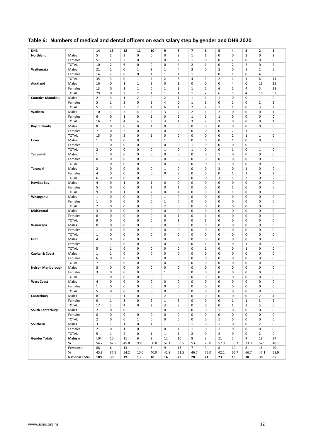## <span id="page-12-0"></span>**Table 6: Numbers of medical and dental officers on each salary step by gender and DHB 2020**

| DHB                       |                       | 14             | 13             | 12             | 11             | 10             | 9              | 8              | 7              | 6              | 5              | 4              | з              | $\overline{\mathbf{2}}$ | 1              |
|---------------------------|-----------------------|----------------|----------------|----------------|----------------|----------------|----------------|----------------|----------------|----------------|----------------|----------------|----------------|-------------------------|----------------|
|                           |                       |                |                |                |                |                |                |                |                |                |                |                |                |                         |                |
| Northland                 | Males                 | 5              | $\mathbf{1}$   | 3              | 0              | 0              | 0              | $\overline{2}$ | $\mathbf{1}$   | $\mathbf{1}$   | 0              | 0              | 2              | 0                       | $\overline{2}$ |
|                           | Females               | 5              | $\mathbf{1}$   | 3              | 0              | 0              | 0              | $\overline{2}$ | $\mathbf{1}$   | 0              | 0              | $\overline{2}$ | 0              | 0                       | 0              |
|                           | <b>TOTAL</b>          | 10             | $\overline{2}$ | 6              | 0              | 0              | 0              | 4              | $\overline{2}$ | $\mathbf{1}$   | 0              | $\overline{2}$ | 2              | 0                       | $\overline{2}$ |
| Waitemata                 | Males                 | 21             | $\mathbf{1}$   | 0              | $\mathbf{1}$   | 3              | $1\,$          | 4              | 3              | 0              | $\overline{2}$ | 0              | $1\,$          | $\overline{2}$          | 5              |
|                           | Females               | 14             | $\overline{2}$ | 0              | 0              | $\mathbf{1}$   | $1\,$          | $\mathbf{1}$   | $\mathbf{1}$   | 3              | 0              | $\mathbf{1}$   | 0              | 4                       | 6              |
|                           | <b>TOTAL</b>          | 35             | 3              | 0              | $\mathbf{1}$   | 4              | $\overline{2}$ | 5              | 4              | 3              | $\overline{2}$ | $\mathbf{1}$   | $1\,$          | 6                       | 11             |
|                           |                       |                |                |                |                |                |                |                |                |                |                |                |                |                         |                |
| Auckland                  | Males                 | 16             | $\mathsf 0$    | $\mathbf{1}$   | $\mathbf{1}$   | $\mathbf 1$    | 0              | $\mathbf 1$    | 0              | 0              | 0              | 4              | 0              | 11                      | 25             |
|                           | Females               | 13             | 0              | $\mathbf{1}$   | $\mathbf{1}$   | 0              | $1\,$          | 3              | $\mathbf{1}$   | $\overline{2}$ | 6              | $\mathbf{1}$   | $\overline{4}$ | 5                       | 28             |
|                           | <b>TOTAL</b>          | 29             | 0              | $\overline{2}$ | $\overline{2}$ | $\mathbf{1}$   | $1\,$          | 4              | 1              | $\overline{2}$ | 6              | 5              | 4              | 16                      | 53             |
| <b>Counties Manukau</b>   | Males                 | $\overline{2}$ | 4              | $\mathbf 1$    | $\overline{2}$ | 0              | $\overline{2}$ | $\mathbf{1}$   | $\mathbf{1}$   | $\mathbf{1}$   | $1\,$          | 0              | 0              | $\mathbf 1$             | 0              |
|                           | Females               | 3              | $\mathbf{1}$   | $\overline{2}$ | 0              | $1\,$          | 4              | 0              | $\mathbf{1}$   | $\,1\,$        | 0              | $1\,$          | 0              | 2                       | $\overline{2}$ |
|                           | <b>TOTAL</b>          | 5              | 5              | 3              | $\overline{2}$ | $1\,$          | 6              | $\mathbf 1$    | $\overline{2}$ | $\overline{2}$ | $\mathbf{1}$   | $1\,$          | 0              | 3                       | $\overline{2}$ |
| Waikato                   | Males                 | 10             | $1\,$          | 3              | 4              | $\overline{2}$ | 3              | $\overline{2}$ | $\overline{2}$ | $\mathbf{1}$   | $\overline{2}$ | 0              | 0              | 0                       | $\mathbf{1}$   |
|                           |                       |                |                |                |                |                |                |                |                |                |                |                |                |                         | $\mathbf 0$    |
|                           | Females               | 6              | 0              | $\mathbf 1$    | 0              | $\mathbf 1$    | 0              | $\overline{2}$ | $\mathbf 1$    | $\mathbf 1$    | $\mathbf 1$    | 0              | 0              | 0                       |                |
|                           | <b>TOTAL</b>          | 16             | $\mathbf{1}$   | 4              | 4              | 3              | 3              | 4              | 3              | $\overline{2}$ | 3              | 0              | 0              | 0                       | $\mathbf 1$    |
| <b>Bay of Plenty</b>      | Males                 | 8              | 0              | 0              | 0              | $\mathbf 1$    | 0              | 0              | 0              | 0              | 0              | 0              | 0              | 0                       | $\mathbf 0$    |
|                           | Females               | $\overline{7}$ | 0              | $\overline{2}$ | 0              | 0              | 0              | 0              | 0              | 0              | 0              | $\overline{2}$ | $\mathbf{1}$   | $\mathbf{1}$            | 0              |
|                           | <b>TOTAL</b>          | 15             | 0              | $\overline{2}$ | 0              | $\mathbf{1}$   | 0              | 0              | 0              | 0              | 0              | 2              | $\mathbf{1}$   | $\mathbf 1$             | $\mathbf 0$    |
| Lakes                     | Males                 | $\mathbf{1}$   | 0              | 0              | 0              | 0              | $1\,$          | 0              | 0              | 0              | 0              | 1              | 0              | 0                       | 0              |
|                           | Females               | $\mathbf 1$    | 0              | 0              | 0              | 0              | 0              | 0              | $\mathbf{1}$   | 0              | 0              | 0              | 0              | $\mathbf{1}$            | 0              |
|                           | <b>TOTAL</b>          | $\overline{2}$ | 0              | 0              | 0              | 0              | $1\,$          | 0              | 1              | 0              | 0              | 1              | 0              | $\mathbf{1}$            | 0              |
|                           |                       |                |                |                |                |                |                |                |                |                |                |                |                |                         |                |
| Tairawhiti                | Males                 | $\mathbf 1$    | 0              | 0              | 0              | 0              | 0              | 0              | 0              | 0              | $1\,$          | 0              | 0              | 0                       | 0              |
|                           | Females               | 0              | 0              | 0              | 0              | 0              | 0              | 0              | 0              | 0              | 0              | 0              | 0              | 0                       | 0              |
|                           | <b>TOTAL</b>          | $1\,$          | 0              | 0              | 0              | 0              | 0              | 0              | 0              | 0              | $1\,$          | 0              | 0              | 0                       | 0              |
| Taranaki                  | Males                 | $\overline{2}$ | 0              | 0              | 0              | 0              | $\mathbf 1$    | 0              | 0              | 0              | 3              | 0              | 1              | 0                       | 0              |
|                           | Females               | $\overline{4}$ | $\mathsf 0$    | 0              | 0              | 0              | 0              | $\overline{2}$ | 0              | 0              | 0              | $\mathbf{1}$   | $1\,$          | 0                       | $\overline{2}$ |
|                           | <b>TOTAL</b>          | 6              | 0              | 0              | 0              | 0              | $1\,$          | $\overline{2}$ | 0              | 0              | 3              | $\mathbf{1}$   | $\overline{2}$ | 0                       | $\overline{2}$ |
| <b>Hawkes Bay</b>         | Males                 | 4              | 0              | $\mathbf{1}$   | 0              | $\mathbf{1}$   | 0              | 0              | 0              | 0              | 0              | 0              | 0              | 0                       | 0              |
|                           |                       |                |                |                |                |                |                |                |                |                |                |                |                |                         |                |
|                           | Females               | 5              | 0              | 0              | 0              | 1              | 0              | $1\,$          | 0              | 0              | 0              | $1\,$          | 0              | 0                       | 0              |
|                           | <b>TOTAL</b>          | 9              | 0              | $\mathbf{1}$   | 0              | $\overline{2}$ | 0              | $1\,$          | 0              | 0              | 0              | $\mathbf{1}$   | 0              | 0                       | 0              |
| Whanganui                 | Males                 | $\mathbf{1}$   | 0              | 0              | 0              | 0              | $1\,$          | 0              | 0              | 0              | 0              | 0              | 0              | 0                       | 0              |
|                           | Females               | $\mathbf{1}$   | $\mathsf 0$    | 0              | 0              | 0              | $\mathbf 1$    | 0              | 0              | $\mathbf 0$    | 0              | 0              | 0              | 0                       | 0              |
|                           | <b>TOTAL</b>          | $\overline{2}$ | 0              | 0              | 0              | 0              | $\overline{2}$ | 0              | 0              | $\mathbf 0$    | 0              | 0              | 0              | 0                       | 0              |
| <b>MidCentral</b>         | Males                 | 3              | $\mathsf 0$    | 0              | 0              | 0              | 0              | 0              | 0              | 0              | 0              | 0              | 0              | 0                       | 0              |
|                           |                       | 6              | 0              | 0              | 0              | 0              | 0              | $1\,$          | 0              | $\mathbf{1}$   | 0              | 0              | 0              | 0                       | 0              |
|                           | Females               |                |                |                |                |                |                |                |                |                |                |                |                |                         |                |
|                           | <b>TOTAL</b>          | 9              | $\mathsf 0$    | 0              | 0              | 0              | 0              | $1\,$          | 0              | $\mathbf{1}$   | 0              | 0              | 0              | 0                       | 0              |
| Wairarapa                 | Males                 | 0              | 0              | 0              | 0              | 0              | 0              | 0              | 0              | 0              | 0              | 0              | 0              | 0                       | 0              |
|                           | Females               | $\mathbf 1$    | $\mathsf 0$    | 0              | 0              | 0              | 0              | 0              | 0              | 0              | 0              | 0              | 0              | 0                       | 0              |
|                           | <b>TOTAL</b>          | $\mathbf{1}$   | 0              | 0              | 0              | 0              | 0              | 0              | 0              | 0              | 0              | 0              | 0              | 0                       | 0              |
| Hutt                      | Males                 | 4              | $\pmb{0}$      | 0              | 0              | 0              | 0              | 0              | 0              | 0              | 0              | 0              | 0              | 0                       | 0              |
|                           | Females               | $\mathbf{1}$   | $1\,$          | 0              | $\mathbf 0$    | 0              | 0              | 0              | 0              | $\mathbf{1}$   | 0              | 0              | 1              | 0                       | $\mathbf 0$    |
|                           | <b>TOTAL</b>          | 5              | $1\,$          | 0              | 0              | 0              | 0              | $\mathbf 0$    | 0              | $\mathbf{1}$   | 0              | 0              | $1\,$          | 0                       | 0              |
|                           |                       | $\mathbf{1}$   | $\mathbf{1}$   | 0              | 0              | 0              | 0              | 0              | 0              | 0              | 0              | 0              | 0              | 0                       | $\mathbf 0$    |
| Capital & Coast           | Males                 |                |                |                |                |                |                |                |                |                |                |                |                |                         |                |
|                           | Females               | 6              | $\pmb{0}$      | 0              | 0              | 0              | 0              | 0              | 0              | 0              | 0              | 0              | 0              | 0                       | 0              |
|                           | <b>TOTAL</b>          | $\overline{7}$ | $\mathbf{1}$   | 0              | 0              | 0              | 0              | 0              | 0              | 0              | 0              | 0              | 0              | 0                       | 0              |
| <b>Nelson Marlborough</b> | Males                 | 8              | $\pmb{0}$      | 0              | 0              | 0              | 0              | 0              | 0              | 0              | 0              | 0              | 0              | 0                       | 0              |
|                           | Females               | 3              | 0              | 0              | 0              | 0              | $1\,$          | 0              | 0              | 0              | 0              | 0              | 0              | 0                       | 0              |
|                           | <b>TOTAL</b>          | 11             | 0              | 0              | 0              | 0              | $1\,$          | 0              | 0              | 0              | 0              | 0              | 0              | 0                       | $\mathbf 0$    |
| <b>West Coast</b>         | Males                 | 4              | 0              | 0              | 0              | 0              | 0              | 0              | 0              | 0              | 0              | 0              | 0              | 0                       | 0              |
|                           | Females               | $1\,$          | 0              | 0              | 0              | 0              | 0              | 0              | 0              | 0              | 0              | 0              | 0              | 0                       | 0              |
|                           | <b>TOTAL</b>          | 5              | 0              | 0              | 0              | 0              | 0              | 0              | $\mathbf 0$    | $\pmb{0}$      | 0              | $\mathbf 0$    | 0              | 0                       | 0              |
|                           |                       |                |                |                |                |                |                |                |                |                |                |                |                |                         |                |
| Canterbury                | Males                 | 8              | $1\,$          | $\mathbf 1$    | 0              | 0              | $\overline{2}$ | $\pmb{0}$      | 0              | $\pmb{0}$      | 0              | 0              | 0              | $\overline{2}$          | 4              |
|                           | Females               | 9              | $\,1\,$        | 3              | 0              | $\overline{2}$ | $\mathbf 1$    | 3              | $\pmb{0}$      | $\pmb{0}$      | 0              | $\mathbf 1$    | $1\,$          | 3                       | $\overline{2}$ |
|                           | <b>TOTAL</b>          | 17             | $\overline{2}$ | 4              | 0              | $\overline{2}$ | 3              | 3              | 0              | $\pmb{0}$      | 0              | $\mathbf 1$    | $1\,$          | 5                       | 6              |
| <b>South Canterbury</b>   | Males                 | $\overline{2}$ | $\pmb{0}$      | $\pmb{0}$      | $\mathbf 1$    | $\pmb{0}$      | $\pmb{0}$      | $\pmb{0}$      | $\mathbf 0$    | $\pmb{0}$      | $\mathbf 1$    | 0              | 0              | 0                       | 0              |
|                           | Females               | 0              | $\pmb{0}$      | 0              | 0              | $\mathsf 0$    | 0              | 0              | 0              | 0              | 0              | 0              | 0              | 0                       | 0              |
|                           | <b>TOTAL</b>          | $\overline{2}$ | 0              | 0              | $\mathbf{1}$   | 0              | 0              | 0              | 0              | 0              | $\mathbf 1$    | 0              | 0              | 0                       | 0              |
| Southern                  | Males                 | 3              | $\mathbf 1$    | $\mathbf 1$    | 0              | $\mathbf{1}$   | $\mathbf 1$    | 0              | $\mathbf 1$    | 0              | $1\,$          | 0              | 0              | $\overline{2}$          | 0              |
|                           |                       |                |                |                |                |                |                |                |                |                |                |                |                |                         |                |
|                           | Females               | $\overline{2}$ | 0              | $\mathbf 1$    | 0              | 0              | 0              | $\mathbf 1$    | $\mathbf 1$    | 0              | $\mathbf 1$    | 0              | 0              | 0                       | 0              |
|                           | <b>TOTAL</b>          | 5              | $\mathbf{1}$   | $\overline{2}$ | 0              | $\mathbf{1}$   | $\mathbf 1$    | $\mathbf{1}$   | $\overline{2}$ | 0              | $\overline{2}$ | 0              | 0              | $\overline{2}$          | 0              |
| <b>Gender Totals</b>      | Males n               | 104            | 10             | 11             | 9              | 9              | 12             | 10             | 8              | 3              | 11             | 5              | $\overline{4}$ | 18                      | 37             |
|                           | %                     | 54.2           | 62.5           | 45.8           | 90.0           | 60.0           | 57.1           | 38.5           | 53.3           | 25.0           | 57.9           | 33.3           | 33.3           | 52.9                    | 48.1           |
|                           | Females n             | 88             | 6              | 13             | $\mathbf{1}$   | 6              | 9              | 16             | $\overline{7}$ | 9              | 8              | 10             | 8              | 16                      | 40             |
|                           | %                     | 45.8           | 37.5           | 54.2           | 10.0           | 40.0           | 42.9           | 61.5           | 46.7           | 75.0           | 42.1           | 66.7           | 66.7           | 47.1                    | 51.9           |
|                           | <b>National Total</b> | 189            | 30             | ${\bf 19}$     | 13             | ${\bf 18}$     | ${\bf 14}$     | 23             | 20             | ${\bf 21}$     | 23             | 18             | 18             | 30                      | 85             |
|                           |                       |                |                |                |                |                |                |                |                |                |                |                |                |                         |                |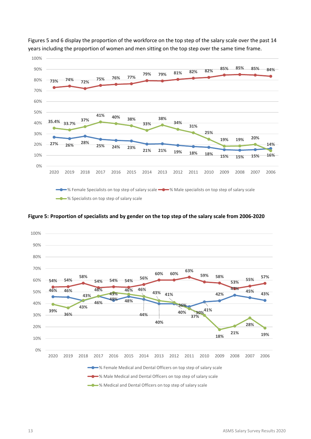

Figures 5 and 6 display the proportion of the workforce on the top step of the salary scale over the past 14 years including the proportion of women and men sitting on the top step over the same time frame.

#### <span id="page-13-0"></span>**Figure 5: Proportion of specialists and by gender on the top step of the salary scale from 2006-2020**

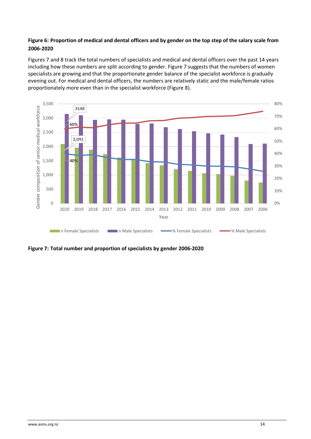#### <span id="page-14-0"></span>**Figure 6: Proportion of medical and dental officers and by gender on the top step of the salary scale from 2006-2020**

Figures 7 and 8 track the total numbers of specialists and medical and dental officers over the past 14 years including how these numbers are split according to gender. Figure 7 suggests that the numbers of women specialists are growing and that the proportionate gender balance of the specialist workforce is gradually evening out. For medical and dental officers, the numbers are relatively static and the male/female ratios proportionately more even than in the specialist workforce (Figure 8).



<span id="page-14-1"></span>**Figure 7: Total number and proportion of specialists by gender 2006-2020**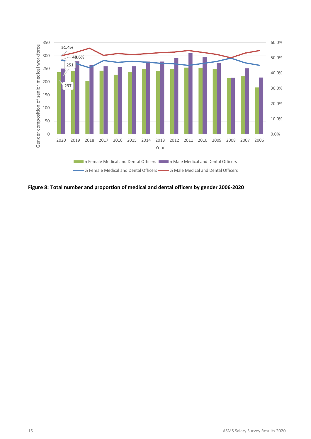

<span id="page-15-0"></span>**Figure 8: Total number and proportion of medical and dental officers by gender 2006-2020**